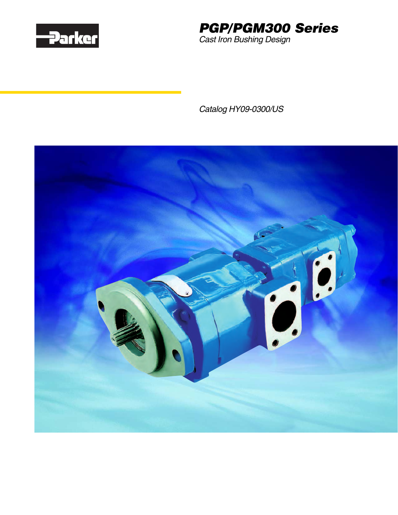



Catalog HY09-0300/US

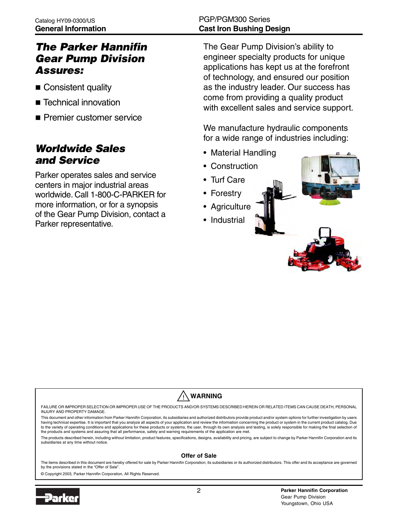# The Parker Hannifin Gear Pump Division Assures:

- **Consistent quality**
- **E** Technical innovation
- **Premier customer service**

# Worldwide Sales and Service

Parker operates sales and service centers in major industrial areas worldwide. Call 1-800-C-PARKER for more information, or for a synopsis of the Gear Pump Division, contact a Parker representative.

# PGP/PGM300 Series **Cast Iron Bushing Design**

The Gear Pump Division's ability to engineer specialty products for unique applications has kept us at the forefront of technology, and ensured our position as the industry leader. Our success has come from providing a quality product with excellent sales and service support.

We manufacture hydraulic components for a wide range of industries including:

- Material Handling
- Construction
- Turf Care
- Forestry
- Agriculture
- Industrial



#### **WARNING** !<br>!

FAILURE OR IMPROPER SELECTION OR IMPROPER USE OF THE PRODUCTS AND/OR SYSTEMS DESCRIBED HEREIN OR RELATED ITEMS CAN CAUSE DEATH, PERSONAL INJURY AND PROPERTY DAMAGE.

This document and other information from Parker Hannifin Corporation, its subsidiaries and authorized distributors provide product and/or system options for further investigation by users having technical expertise. It is important that you analyze all aspects of your application and review the information concerning the product or system in the current product catalog. Due to the variety of operating conditions and applications for these products or systems, the user, through its own analysis and testing, is solely responsible for making the final selection of the products and systems and assuring that all performance, safety and warning requirements of the application are met.

The products described herein, including without limitation, product features, specifications, designs, availability and pricing, are subject to change by Parker Hannifin Corporation and its subsidiaries at any time without notice.

#### **Offer of Sale**

The items described in this document are hereby offered for sale by Parker Hannifin Corporation, its subsidiaries or its authorized distributors. This offer and its acceptance are governed by the provisions stated in the "Offer of Sale".

© Copyright 2003, Parker Hannifin Corporation, All Rights Reserved.

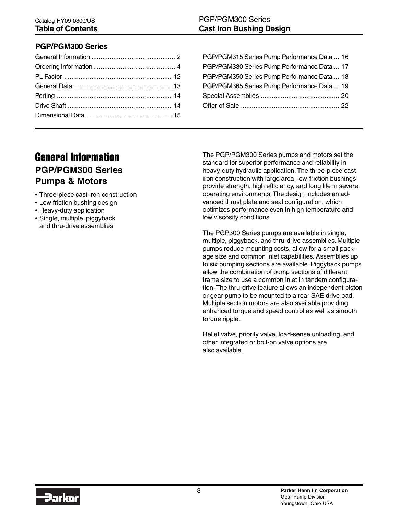### **PGP/PGM300 Series**

| PGP/PGM315 Series Pump Performance Data  16 |
|---------------------------------------------|
| PGP/PGM330 Series Pump Performance Data  17 |
| PGP/PGM350 Series Pump Performance Data  18 |
| PGP/PGM365 Series Pump Performance Data  19 |
|                                             |
|                                             |
|                                             |

# General Information **PGP/PGM300 Series Pumps & Motors**

- Three-piece cast iron construction
- Low friction bushing design
- Heavy-duty application
- Single, multiple, piggyback and thru-drive assemblies

The PGP/PGM300 Series pumps and motors set the standard for superior performance and reliability in heavy-duty hydraulic application. The three-piece cast iron construction with large area, low-friction bushings provide strength, high efficiency, and long life in severe operating environments. The design includes an advanced thrust plate and seal configuration, which optimizes performance even in high temperature and low viscosity conditions.

The PGP300 Series pumps are available in single, multiple, piggyback, and thru-drive assemblies. Multiple pumps reduce mounting costs, allow for a small package size and common inlet capabilities. Assemblies up to six pumping sections are available. Piggyback pumps allow the combination of pump sections of different frame size to use a common inlet in tandem configuration. The thru-drive feature allows an independent piston or gear pump to be mounted to a rear SAE drive pad. Multiple section motors are also available providing enhanced torque and speed control as well as smooth torque ripple.

Relief valve, priority valve, load-sense unloading, and other integrated or bolt-on valve options are also available.

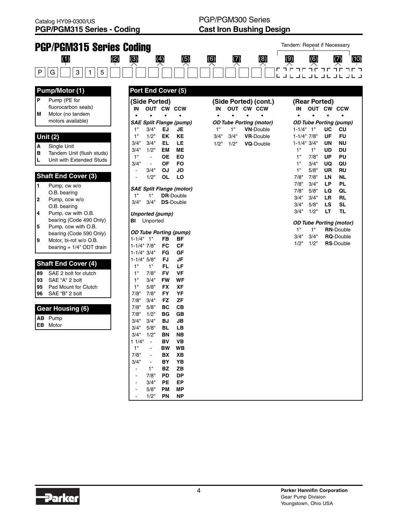| <b>PGP/PGM315 Series Coding</b>                                                                                                            |                                                                                                                                                                                                                                           |                                                                                                                                        | Tandem: Repeat if Necessary                                                                                                                                                                              |
|--------------------------------------------------------------------------------------------------------------------------------------------|-------------------------------------------------------------------------------------------------------------------------------------------------------------------------------------------------------------------------------------------|----------------------------------------------------------------------------------------------------------------------------------------|----------------------------------------------------------------------------------------------------------------------------------------------------------------------------------------------------------|
| (1)<br>(2)                                                                                                                                 | $\left( 5\right)$<br>(3)<br>(4)                                                                                                                                                                                                           | (6)<br>(7)<br>(8)                                                                                                                      | (9)<br>(6)<br>(7)<br>(10)                                                                                                                                                                                |
| 3<br>5<br>P<br>G<br>1                                                                                                                      |                                                                                                                                                                                                                                           |                                                                                                                                        | <u> תר מר מר מר מ</u><br>ר חר<br>$\Box$<br>┙┕<br>┙┕<br>┙┕                                                                                                                                                |
| <b>Pump/Motor (1)</b>                                                                                                                      | Port End Cover (5)                                                                                                                                                                                                                        |                                                                                                                                        |                                                                                                                                                                                                          |
| l P<br>Pump (PE for<br>fluorocarbon seals)<br>Motor (no tandem<br>M                                                                        | (Side Ported)<br>OUT CW CCW<br>IN<br>$\bullet$<br>$\bullet$                                                                                                                                                                               | (Side Ported) (cont.)<br>OUT CW CCW<br>IN                                                                                              | (Rear Ported)<br>OUT CW CCW<br>IN                                                                                                                                                                        |
| motors available)<br>Unit $(2)$<br>Single Unit<br>A<br>lв<br>Tandem Unit (flush studs)<br>L<br>Unit with Extended Studs                    | <b>SAE Split Flange (pump)</b><br>1"<br>3/4"<br><b>EJ</b><br><b>JE</b><br>1"<br>1/2"<br>EK<br>ΚE<br>3/4"<br>LE<br>3/4"<br>EL<br>1/2"<br>3/4"<br>EM<br>MЕ<br>1"<br>ОE<br>EO<br>$\blacksquare$<br>3/4"<br><b>OF</b><br>FO<br>$\blacksquare$ | <b>OD Tube Porting (motor)</b><br>1"<br><b>VN-Double</b><br>1"<br>3/4"<br>3/4"<br><b>VR-Double</b><br>1/2"<br>1/2"<br><b>VQ-Double</b> | <b>OD Tube Porting (pump)</b><br>$1 - 1/4" 1"$<br>cu<br>UC<br>$1 - 1/4"$ 7/8"<br>UF<br>FU<br>UN<br>ΝU<br>$1 - 1/4$ " $3/4$ "<br>1"<br>1"<br>UD<br>DU<br>1"<br>7/8"<br>UP<br>PU<br>1"<br>3/4"<br>QU<br>UQ |
| <b>Shaft End Cover (3)</b><br>1<br>Pump, cw w/o<br>O.B. bearing<br>Pump, ccw w/o<br>2<br>O.B. bearing<br>Pump, cw with O.B.<br>14          | OJ<br>3/4"<br>JO<br>$\blacksquare$<br>1/2"<br><b>OL</b><br>LO<br><b>SAE Split Flange (motor)</b><br>1"<br>1"<br><b>DR-Double</b><br>3/4"<br>3/4"<br><b>DS-Double</b><br><b>Unported (pump)</b>                                            |                                                                                                                                        | 1"<br>5/8"<br>UR<br>RU<br>7/8"<br>7/8"<br>NL<br>LN<br>7/8"<br>3/4"<br>LР<br>PL<br>7/8"<br>5/8"<br>QL<br>LQ<br>3/4"<br>3/4"<br>LR<br>RL<br><b>SL</b><br>3/4"<br>5/8"<br>LS<br>TL<br>3/4"<br>1/2"<br>LT    |
| bearing (Code 490 Only)<br>Pump, ccw with O.B.<br>5<br>bearing (Code 590 Only)<br>Motor, bi-rot w/o O.B.<br>Ι9<br>bearing + 1/4" ODT drain | Unported<br>BI<br><b>OD Tube Porting (pump)</b><br>$1 - 1/4" 1"$<br>FB<br>ΒF<br>$1 - 1/4"$ 7/8"<br>FC<br>СF<br>GF<br>$1 - 1/4$ $3/4$ "<br>FG<br>$1 - 1/4" 5/8"$<br>FJ<br>JF                                                               |                                                                                                                                        | <b>OD Tube Porting (motor)</b><br>1"<br>1"<br><b>RN-Double</b><br>3/4"<br>3/4"<br><b>RQ-Double</b><br>1/2"<br>1/2"<br><b>RS-Double</b>                                                                   |
| <b>Shaft End Cover (4)</b><br>SAE 2 bolt for clutch<br>89<br>SAE "A" 2 bolt<br>93<br>95<br>Pad Mount for Clutch<br>SAE "B" 2 bolt<br>96    | 1"<br>1"<br>LF<br>FL<br>1"<br><b>VF</b><br>7/8"<br>FV<br>1"<br>3/4"<br><b>FW</b><br>WF<br>1"<br>5/8"<br><b>XF</b><br><b>FX</b><br>7/8"<br>7/8"<br><b>FY</b><br>YF<br>7/8"<br><b>ZF</b><br>3/4"<br>FZ                                      |                                                                                                                                        |                                                                                                                                                                                                          |
| <b>Gear Housing (6)</b><br>AB Pump<br><b>EB</b> Motor                                                                                      | 7/8"<br><b>BC</b><br>CB<br>5/8"<br>7/8"<br>1/2"<br>BG<br>GВ<br>3/4"<br>3/4"<br>BJ<br>JB<br>3/4"<br>5/8"<br>BL.<br>LВ<br>3/4"<br>1/2<br>BN<br>NВ<br>11/4"<br>VB<br><b>BV</b>                                                               |                                                                                                                                        |                                                                                                                                                                                                          |
|                                                                                                                                            | 1"<br><b>BW</b><br><b>WB</b><br>7/8"<br>BX<br>XВ<br>3/4"<br>BY<br>YB<br>1"<br><b>BZ</b><br>ZB<br>ä,<br>7/8"<br><b>PD</b><br><b>DP</b><br>3/4"<br>EP<br>PЕ<br>5/8"<br><b>PM</b><br>ΜP<br>1/2"<br>PN<br><b>NP</b>                           |                                                                                                                                        |                                                                                                                                                                                                          |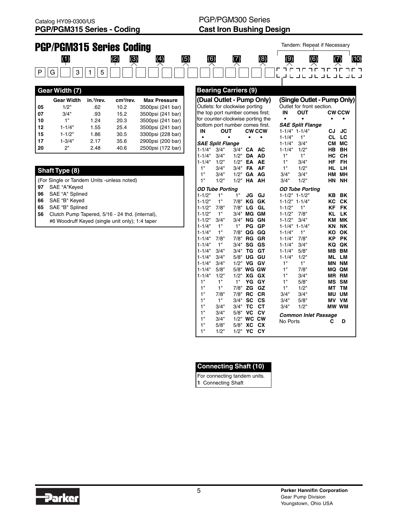|    | <b>PGP/PGM315 Series Coding</b>                 |                        |                       |                     |                           |                                   |              |                          |                            |                   |                          | Tandem: Repeat if Necessary       |                        |                 |      |
|----|-------------------------------------------------|------------------------|-----------------------|---------------------|---------------------------|-----------------------------------|--------------|--------------------------|----------------------------|-------------------|--------------------------|-----------------------------------|------------------------|-----------------|------|
|    | $\left( 1\right)$                               |                        | (2)<br>(3)            | $\left( 4\right)$   | $\overline{\mathfrak{D}}$ | $\overline{\Theta}$               |              | $\overline{\mathcal{L}}$ |                            | $\left( 8\right)$ | (9)                      | (6)                               |                        | (7)             | (10) |
| P  | 3<br>G                                          | 5<br>1                 |                       |                     |                           |                                   |              |                          |                            |                   | г                        | חרחר<br>J L J L J L J L J L J L J | $T = T - T$            |                 |      |
|    | <b>Gear Width (7)</b>                           |                        |                       |                     |                           | <b>Bearing Carriers (9)</b>       |              |                          |                            |                   |                          |                                   |                        |                 |      |
|    | <b>Gear Width</b>                               | in. <sup>3</sup> /rev. | cm <sup>3</sup> /rev. | <b>Max Pressure</b> |                           | (Dual Outlet - Pump Only)         |              |                          |                            |                   |                          | (Single Outlet - Pump Only)       |                        |                 |      |
| 05 | 1/2"                                            | .62                    | 10.2                  | 3500psi (241 bar)   |                           | Outlets: for clockwise porting    |              |                          |                            |                   |                          | Outlet for front section.         |                        |                 |      |
| 07 | 3/4"                                            | .93                    | 15.2                  | 3500psi (241 bar)   |                           | the top port number comes first;  |              |                          |                            |                   | IN                       | <b>OUT</b>                        |                        | <b>CW CCW</b>   |      |
| 10 | 1 <sup>0</sup>                                  | 1.24                   | 20.3                  | 3500psi (241 bar)   |                           | for counter-clockwise porting the |              |                          |                            |                   | $\bullet$                | $\bullet$                         | $\bullet$              |                 |      |
| 12 | $1 - 1/4"$                                      | 1.55                   | 25.4                  | 3500psi (241 bar)   |                           | bottom port number comes first.   |              |                          |                            |                   |                          | <b>SAE Split Flange</b>           |                        |                 |      |
| 15 | $1 - 1/2"$                                      | 1.86                   | 30.5                  | 3300psi (228 bar)   |                           | IN                                | <b>OUT</b>   |                          | <b>CW CCW</b><br>$\bullet$ | ٠                 | $1 - 1/4"$               | $1 - 1/4" 1 - 1/4"$<br>1"         | <b>CJ</b><br><b>CL</b> | <b>JC</b><br>LC |      |
| 17 | $1 - 3/4"$                                      | 2.17                   | 35.6                  | 2900psi (200 bar)   |                           | <b>SAE Split Flange</b>           |              |                          |                            |                   | $1 - 1/4"$               | 3/4"                              |                        | CM MC           |      |
| 20 | 2"                                              | 2.48                   | 40.6                  | 2500psi (172 bar)   |                           | $1 - 1/4"$                        | 3/4"         | 3/4"                     | CA                         | AC                | $1 - 1/4"$               | 1/2"                              | <b>HB</b>              | <b>BH</b>       |      |
|    |                                                 |                        |                       |                     |                           | $1 - 1/4"$                        | 3/4"         | 1/2"                     | <b>DA</b>                  | <b>AD</b>         | 1"                       | 1"                                | <b>HC</b>              | CH              |      |
|    |                                                 |                        |                       |                     |                           | $1 - 1/4"$                        | 1/2"         | 1/2"                     | EA AE                      |                   | 1"                       | 3/4"                              | <b>HF</b>              | <b>FH</b>       |      |
|    | <b>Shaft Type (8)</b>                           |                        |                       |                     |                           | 1"                                | 3/4"         | 3/4"                     | <b>FA</b>                  | AF                | 1"                       | 1/2"                              | HL.                    | <b>LH</b>       |      |
|    |                                                 |                        |                       |                     |                           | 1"                                | 3/4"         | 1/2"                     | GA                         | AG                | 3/4"                     | 3/4"                              |                        | HM MH           |      |
|    | (For Single or Tandem Units - unless noted)     |                        |                       |                     |                           | 1"                                | 1/2"         | 1/2"                     | HA AH                      |                   | 3/4"                     | 1/2"                              |                        | HN NH           |      |
| 97 | SAE "A"Keyed                                    |                        |                       |                     |                           | <b>OD Tube Porting</b>            |              |                          |                            |                   |                          | <b>OD Tube Porting</b>            |                        |                 |      |
| 96 | SAE "A" Splined                                 |                        |                       |                     |                           | $1 - 1/2"$                        | 1"           | 1"                       | JG                         | GJ                |                          | $1 - 1/2" 1 - 1/2"$               |                        | <b>KB BK</b>    |      |
| 66 | SAE "B" Keyed                                   |                        |                       |                     |                           | $1 - 1/2"$                        | 1"           | 7/8"                     | ΚG                         | GK                |                          | $1 - 1/2" 1 - 1/4"$               | КC                     | CK              |      |
| 65 | SAE "B" Splined                                 |                        |                       |                     |                           | $1 - 1/2"$                        | 7/8"         | 7/8"                     | LG                         | GL                | $1 - 1/2"$               | 1"                                | <b>KF</b>              | <b>FK</b>       |      |
| 56 | Clutch Pump Tapered, 5/16 - 24 thd. (internal), |                        |                       |                     |                           | $1 - 1/2"$                        | 1"           |                          | 3/4" MG                    | GM                | $1 - 1/2"$               | 7/8"                              | <b>KL</b>              | <b>LK</b>       |      |
|    | #6 Woodruff Keyed (single unit only); 1:4 taper |                        |                       |                     |                           | $1 - 1/2"$                        | 3/4"         |                          | 3/4" NG GN                 |                   | $1 - 1/2"$               | 3/4"                              |                        | KM MK           |      |
|    |                                                 |                        |                       |                     |                           | $1 - 1/4"$                        | 1"           | 1"                       | PG GP                      |                   |                          | $1 - 1/4" 1 - 1/4"$               | KN                     | <b>NK</b>       |      |
|    |                                                 |                        |                       |                     |                           | $1 - 1/4"$                        | 1"           | 7/8"                     | QG GQ                      |                   | $1 - 1/4"$               | 1"                                | КO                     | OK              |      |
|    |                                                 |                        |                       |                     |                           | $1 - 1/4"$                        | 7/8"         | 7/8"                     | <b>RG GR</b>               |                   | $1 - 1/4"$               | 7/8"                              | <b>KP</b>              | <b>PK</b>       |      |
|    |                                                 |                        |                       |                     |                           | $1 - 1/4"$                        | 1"           | 3/4"                     | SG GS                      |                   | $1 - 1/4"$               | 3/4"                              |                        | KQ QK           |      |
|    |                                                 |                        |                       |                     |                           | $1 - 1/4"$<br>$1 - 1/4"$          | 3/4"<br>3/4" | 3/4"<br>5/8"             | TG<br>UG                   | GT<br>GU          | $1 - 1/4"$<br>$1 - 1/4"$ | 5/8"<br>1/2"                      | MB                     | BM<br>ML LM     |      |
|    |                                                 |                        |                       |                     |                           | $1 - 1/4"$                        | 3/4"         |                          | 1/2" VG GV                 |                   | 1"                       | 1"                                |                        | <b>MN NM</b>    |      |
|    |                                                 |                        |                       |                     |                           | $1 - 1/4"$                        | 5/8"         |                          | 5/8" WG GW                 |                   | 1"                       | 7/8"                              |                        | MQ QM           |      |
|    |                                                 |                        |                       |                     |                           | $1 - 1/4"$                        | 1/2"         | 1/2"                     | XG                         | GX                | 1"                       | 3/4"                              |                        | <b>MR RM</b>    |      |
|    |                                                 |                        |                       |                     |                           | 1"                                | 1"           | 1"                       | YG                         | GY                | 1"                       | 5/8"                              |                        | <b>MS SM</b>    |      |
|    |                                                 |                        |                       |                     |                           | 1"                                | 1"           | 7/8"                     | ZG                         | GZ                | 1"                       | 1/2"                              | MТ                     | <b>TM</b>       |      |
|    |                                                 |                        |                       |                     |                           | 1 <sup>''</sup>                   | 7/8"         | 7/8"                     | <b>RC</b>                  | <b>CR</b>         | 3/4"                     | 3/4"                              | ΜU                     | <b>UM</b>       |      |
|    |                                                 |                        |                       |                     |                           | 1"                                | 1"           | 3/4"                     | <b>SC</b>                  | <b>CS</b>         | 3/4"                     | 5/8"                              |                        | MV VM           |      |
|    |                                                 |                        |                       |                     |                           | 1 <sup>0</sup>                    | 3/4"         |                          | 3/4" TC                    | <b>CT</b>         | 3/4"                     | 1/2"                              |                        | MW WM           |      |

| <b>Connecting Shaft (10)</b> |
|------------------------------|
| Eor connecting tondom unite  |

1" 3/4" 3/4" **TC CT**

1" 3/4" 5/8" **VC CV**<br>1" 3/4" 1/2" **WC CW**<br>1" 5/8" 5/8" **XC CX**<br>1" 1/2" 1/2" **YC CY** 1" 3/4" 1/2" **WC CW** 1" 5/8" 5/8" **XC CX** 1" 1/2" 1/2" **YC CY**

For connecting tandem units. **1** Connecting Shaft



**Common Inlet Passage**<br>No Ports **C** No Ports **C D**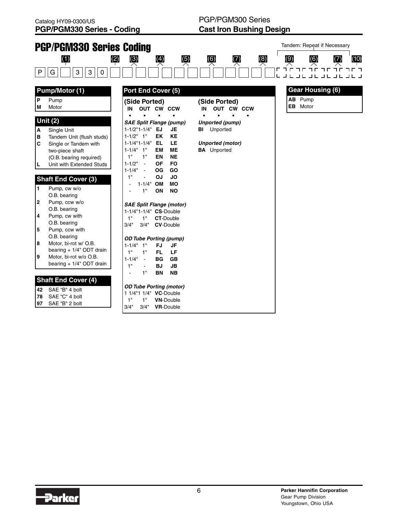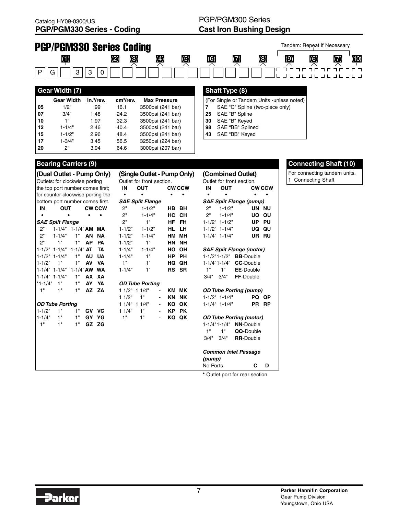**15** 1-1/2" 2.96 48.4 3500psi (241 bar) **17** 1-3/4" 3.45 56.5 3250psi (224 bar) **20** 2" 3.94 64.6 3000psi (207 bar)

## PGP/PGM300 Series **Cast Iron Bushing Design**



| 43 |  |  | SAE "BB" Keyed |
|----|--|--|----------------|
|----|--|--|----------------|

| <b>Bearing Carriers (9)</b>            |                 |               |             |                             |                             |              |                    |                     |                                 |              |
|----------------------------------------|-----------------|---------------|-------------|-----------------------------|-----------------------------|--------------|--------------------|---------------------|---------------------------------|--------------|
| (Dual Outlet - Pump Only)              |                 |               |             | (Single Outlet - Pump Only) |                             |              |                    |                     | (Combined Outlet)               |              |
| Outlets: for clockwise porting         |                 |               |             | Outlet for front section.   |                             |              |                    |                     | Outlet for front section.       |              |
| the top port number comes first;       |                 |               | IN          | <b>OUT</b>                  |                             | <b>CWCCW</b> | IN                 | <b>OUT</b>          |                                 | <b>CWCCW</b> |
| for counter-clockwise porting the      |                 |               | $\bullet$   | $\bullet$                   | $\bullet$                   | $\bullet$    | $\bullet$          |                     |                                 |              |
| bottom port number comes first.        |                 |               |             | <b>SAE Split Flange</b>     |                             |              |                    |                     | <b>SAE Split Flange (pump)</b>  |              |
| IN<br><b>OUT</b>                       |                 | <b>CW CCW</b> | 2"          | $1 - 1/2"$                  | <b>HB</b>                   | <b>BH</b>    | 2"                 | $1 - 1/2"$          |                                 | UN NU        |
|                                        | ٠               |               | 2"          | $1 - 1/4"$                  | <b>HC</b>                   | <b>CH</b>    | 2"                 | $1 - 1/4"$          | UO                              | OU           |
| <b>SAE Split Flange</b>                |                 |               | 2"          | 1"                          | HF                          | <b>FH</b>    |                    | $1 - 1/2" 1 - 1/2"$ | <b>UP</b>                       | PU           |
| 2"<br>1-1/4" 1-1/4" AM MA              |                 |               | $1 - 1/2"$  | $1 - 1/2"$                  | <b>HL</b>                   | LН           |                    | $1 - 1/2" 1 - 1/4"$ | UQ                              | QU           |
| 2"<br>$1 - 1/4"$                       | 1"<br>AN        | <b>NA</b>     | $1 - 1/2"$  | $1 - 1/4"$                  | <b>HM</b>                   | MН           |                    | $1 - 1/4" 1 - 1/4"$ |                                 | UR RU        |
| 2"<br>1"                               | 1"<br><b>AP</b> | PA            | $1 - 1/2"$  | 1"                          | <b>HN</b>                   | <b>NH</b>    |                    |                     |                                 |              |
| $1 - 1/2$ " $1 - 1/4$ " $1 - 1/4$ " AT |                 | <b>TA</b>     | $1 - 1/4"$  | $1 - 1/4"$                  | HO                          | OH           |                    |                     | <b>SAE Split Flange (motor)</b> |              |
| $1 - 1/2" 1 - 1/4"$                    | 1"<br><b>AU</b> | <b>UA</b>     | $1 - 1/4"$  | 1"                          | HP.                         | <b>PH</b>    |                    | $1 - 1/2"1 - 1/2"$  | <b>BB-Double</b>                |              |
| 1"<br>$1 - 1/2"$                       | 1"<br>AV        | <b>VA</b>     | 1"          | 1"                          | HQ                          | QH           |                    | 1-1/4"1-1/4"        | <b>CC-Double</b>                |              |
| 1-1/4" 1-1/4" 1-1/4" AW WA             |                 |               | $1 - 1/4"$  | 1"                          |                             | RS SR        | 1"                 | 1"                  | <b>EE-Double</b>                |              |
| $1 - 1/4" 1 - 1/4"$                    | 1"              | AX XA         |             |                             |                             |              | 3/4"               | 3/4"                | FF-Double                       |              |
| 1"<br>$*1 - 1/4"$                      | 1"<br>AY        | YA            |             | <b>OD Tube Porting</b>      |                             |              |                    |                     |                                 |              |
| 1"<br>1"                               | 1"              | AZ ZA         | 11/2" 11/4" |                             | $\blacksquare$              | KM MK        |                    |                     | <b>OD Tube Porting (pump)</b>   |              |
|                                        |                 |               | 11/2"       | 1"                          | <b>KN</b><br>$\blacksquare$ | <b>NK</b>    |                    | $1 - 1/2" 1 - 1/4"$ |                                 | PQ QP        |
| <b>OD Tube Porting</b>                 |                 |               | 11/4" 11/4" |                             | KO<br>$\blacksquare$        | OK           |                    | $1 - 1/4" 1 - 1/4"$ |                                 | PR RP        |
| $1 - 1/2"$<br>1"                       | 1"              | GV VG         | 11/4"       | 1"                          | KP.                         | <b>PK</b>    |                    |                     |                                 |              |
| 1"<br>$1 - 1/4"$                       | 1"              | GY YG         | 1"          | 1"                          | $\blacksquare$              | KQ QK        |                    |                     | <b>OD Tube Porting (motor)</b>  |              |
| 1"<br>1"                               | 1"              | GZ ZG         |             |                             |                             |              |                    | $1 - 1/4"1 - 1/4"$  | <b>NN-Double</b>                |              |
|                                        |                 |               |             |                             |                             |              | 1"                 | 1"                  | QQ-Double                       |              |
|                                        |                 |               |             |                             |                             |              | 3/4"               | 3/4"                | <b>RR-Double</b>                |              |
|                                        |                 |               |             |                             |                             |              |                    |                     | <b>Common Inlet Passage</b>     |              |
|                                        |                 |               |             |                             |                             |              | (pump)<br>No Ports |                     | C                               | D            |

#### **Bearing Carriers (9) Connecting Shaft (10)**

For connecting tandem units. **1** Connecting Shaft

**\*** Outlet port for rear section.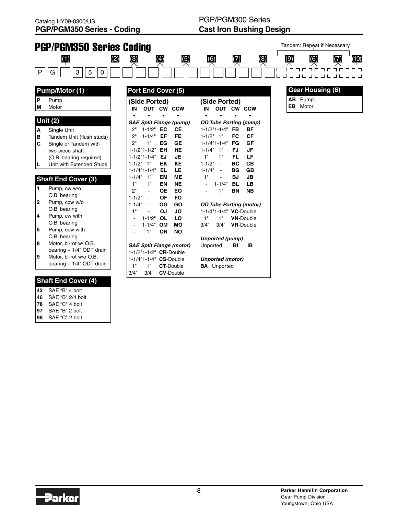

- **46** SAE "B" 2/4 bolt
- **78** SAE "C" 4 bolt
- **97** SAE "B" 2 bolt
- **98** SAE "C" 2 bolt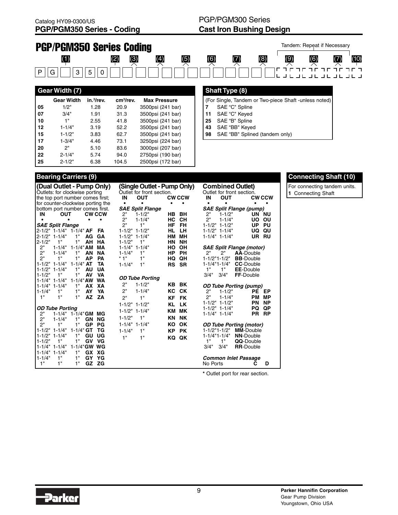

#### **Bearing Carriers (9)**

**22** 2-1/4" 5.74 94.0 2750psi (190 bar) **25** 2-1/2" 6.38 104.5 2500psi (172 bar)

|                     |                                               |                |           | (Dual Outlet - Pump Only) |            |                           | (Single Outlet - Pump Only) |              | <b>Combined Outlet)</b>                        |                                                    |                 |
|---------------------|-----------------------------------------------|----------------|-----------|---------------------------|------------|---------------------------|-----------------------------|--------------|------------------------------------------------|----------------------------------------------------|-----------------|
|                     | Outlets: for clockwise porting                |                |           |                           |            | Outlet for front section. |                             |              | Outlet for front section.                      |                                                    |                 |
|                     | the top port number comes first;              |                |           |                           | IN         | <b>OUT</b>                |                             | <b>CWCCW</b> | IN<br><b>OUT</b>                               |                                                    | <b>CWCCW</b>    |
|                     | for counter-clockwise porting the             |                |           |                           | $\bullet$  | ٠                         | $\bullet$                   | ٠            | $\bullet$<br>$\bullet$                         | ٠                                                  |                 |
|                     | bottom port number comes first.               |                |           |                           |            | <b>SAE Split Flange</b>   |                             |              |                                                | <b>SAE Split Flange (pump)</b>                     |                 |
| IN                  | <b>OUT</b>                                    |                |           | <b>CW CCW</b>             | 2"         | $1 - 1/2"$                | HB.                         | BH           | 2"<br>$1 - 1/2"$                               |                                                    | UN NU           |
|                     |                                               |                | $\bullet$ | $\bullet$                 | 2"         | $1 - 1/4"$                | НC                          | <b>CH</b>    | 2"<br>$1 - 1/4"$                               | UO.                                                | OU              |
|                     | <b>SAE Split Flange</b>                       |                |           |                           | 2"         | 1"                        | ΗF                          | <b>FH</b>    | $1 - 1/2$ " $1 - 1/2$ "                        | UP                                                 | PU              |
|                     | 2-1/2" 1-1/4" 1-1/4" AF                       |                |           | FA                        |            | $1 - 1/2" 1 - 1/2"$       | HL                          | LН           | $1 - 1/2$ " $1 - 1/4$ "                        | UQ.                                                | QU              |
| 12-1/2" 1-1/4"      |                                               | 1"             | AG        | GA                        |            | $1 - 1/2" 1 - 1/4"$       | нм                          | мн           | $1 - 1/4" 1 - 1/4"$                            |                                                    | UR RU           |
| 2-1/2"              | 1"                                            | 1"             | AH        | <b>HA</b>                 | $1 - 1/2"$ | 1"                        | HN                          | <b>NH</b>    |                                                |                                                    |                 |
| 2"                  | $1 - 1/4"$                                    | $1 - 1/4$ " AM |           | MА                        |            | $1 - 1/4$ " $1 - 1/4$ "   | HO                          | OH           |                                                | <b>SAE Split Flange (motor)</b>                    |                 |
| 2"                  | $1 - 1/4"$                                    | 1"             | AN        | ΝA                        | $1 - 1/4"$ | 1"                        | НP                          | <b>PH</b>    | 2"<br>2"                                       | <b>AA-Double</b>                                   |                 |
| 2"                  | 1"                                            | 1"             | AP        | PA                        | $*1"$      | 1"                        | HQ                          | QΗ           | $1 - 1/2"1 - 1/2"$                             | <b>BB-Double</b>                                   |                 |
| 1-1/2" 1-1/4"       |                                               | $1 - 1/4$ " AT |           | TA                        | $1 - 1/4"$ | 1"                        | RS                          | <b>SR</b>    | $1 - 1/4"1 - 1/4"$                             | <b>CC-Double</b>                                   |                 |
| $1 - 1/2" 1 - 1/4"$ |                                               | 1"             | AU        | UA                        |            |                           |                             |              | 1"<br>1"                                       | <b>EE-Double</b>                                   |                 |
| $1 - 1/2"$          | 1"                                            | 1"             | AV        | <b>VA</b>                 |            | <b>OD Tube Porting</b>    |                             |              | 3/4"<br>3/4"                                   | FF-Double                                          |                 |
| 1-1/4" 1-1/4"       |                                               | $1 - 1/4$ " AW |           | <b>WA</b>                 | 2"         | $1 - 1/2"$                |                             | <b>KB BK</b> |                                                |                                                    |                 |
| 1-1/4" 1-1/4"       |                                               | 1"             | AX        | XА                        |            |                           |                             |              |                                                | <b>OD Tube Porting (pump)</b>                      |                 |
| $1 - 1/4"$          | 1"                                            | 1"             | AY        | YA                        | 2"         | $1 - 1/4"$                | КC                          | <b>CK</b>    | 2"<br>$1 - 1/2"$                               | <b>PE</b>                                          | EP              |
| 1"                  | 1"                                            | 1"             | AZ        | ZA                        | 2"         | 1"                        | ΚF                          | <b>FK</b>    | 2"<br>$1 - 1/4"$                               | <b>PM</b>                                          | МP              |
|                     |                                               |                |           |                           |            | $1 - 1/2" 1 - 1/2"$       | ΚL                          | <b>LK</b>    | $1 - 1/2" 1 - 1/2"$                            | PN                                                 | ΝP              |
| 2"                  | <b>OD Tube Porting</b><br>1-1/4" 1-1/4" GM MG |                |           |                           |            | $1 - 1/2" 1 - 1/4"$       | ΚM                          | <b>MK</b>    | $1 - 1/2$ " $1 - 1/4$ "<br>$1 - 1/4" 1 - 1/4"$ | PQ<br>PR                                           | QP<br><b>RP</b> |
| 2"                  | $1 - 1/4"$                                    | 1"             | GN        | <b>NG</b>                 | $1 - 1/2"$ | 1"                        | ΚN                          | <b>NK</b>    |                                                |                                                    |                 |
| 2"                  | 1"                                            | 1"             | <b>GP</b> | PG                        |            | $1 - 1/4" 1 - 1/4"$       | ΚO                          | OK           |                                                |                                                    |                 |
| $1 - 1/2" 1 - 1/4"$ |                                               | $1 - 1/4"$     | GT        | ТG                        |            |                           |                             |              | $1 - 1/2"1 - 1/2"$                             | <b>OD Tube Porting (motor)</b><br><b>MM-Double</b> |                 |
| $1 - 1/2" 1 - 1/4"$ |                                               | 1"             | GU        | UG                        | $1 - 1/4"$ | 1"                        | КP                          | <b>PK</b>    | $1 - 1/4"1 - 1/4"$                             | <b>NN-Double</b>                                   |                 |
| 1-1/2"              | 1"                                            | 1"             | GV        | VG                        | 1"         | 1"                        | KQ                          | QK           | 1"<br>1"                                       | QQ-Double                                          |                 |
| 1-1/4" 1-1/4"       |                                               | 1-1/4"GW WG    |           |                           |            |                           |                             |              | 3/4"<br>3/4"                                   | <b>RR-Double</b>                                   |                 |
| $1 - 1/4" 1 - 1/4"$ |                                               | 1"             | <b>GX</b> | XG                        |            |                           |                             |              |                                                |                                                    |                 |
| $1 - 1/4"$          | 1"                                            | 1"             | GY        | YG                        |            |                           |                             |              |                                                | <b>Common Inlet Passage</b>                        |                 |
| 1"                  | 1"                                            | 1"             | GZ        | <b>ZG</b>                 |            |                           |                             |              | No Ports                                       | C                                                  | D               |
|                     |                                               |                |           |                           |            |                           |                             |              |                                                |                                                    |                 |

**Connecting Shaft (10)**

For connecting tandem units. **1** Connecting Shaft

**\*** Outlet port for rear section.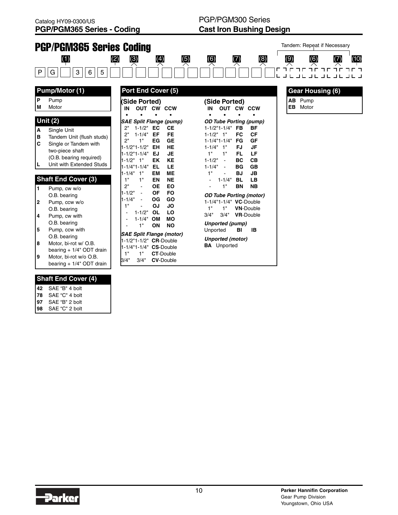

- **42** SAE "B" 4 bolt
- **78** SAE "C" 4 bolt
- **97** SAE "B" 2 bolt **98** SAE "C" 2 bolt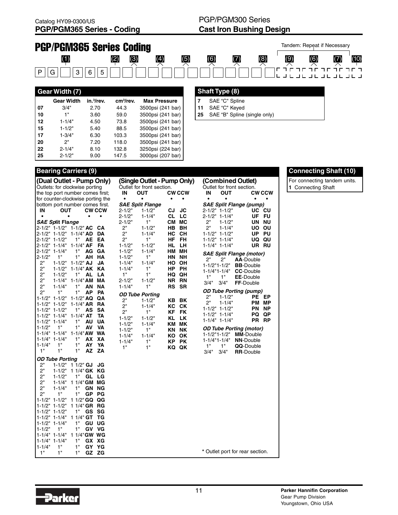

|      | Gear Width (7)    |                        |                       |                     |
|------|-------------------|------------------------|-----------------------|---------------------|
|      | <b>Gear Width</b> | in. <sup>3</sup> /rev. | cm <sup>3</sup> /rev. | <b>Max Pressure</b> |
| l 07 | 3/4"              | 2.70                   | 44.3                  | 3500psi (241 bar)   |
| l 10 | 1"                | 3.60                   | 59.0                  | 3500psi (241 bar)   |
| l 12 | $1 - 1/4"$        | 4.50                   | 73.8                  | 3500psi (241 bar)   |
| l 15 | $1 - 1/2"$        | 5.40                   | 88.5                  | 3500psi (241 bar)   |
| l 17 | $1 - 3/4"$        | 6.30                   | 103.3                 | 3500psi (241 bar)   |
| l 20 | 2"                | 7.20                   | 118.0                 | 3500psi (241 bar)   |
| 22   | $2 - 1/4"$        | 8.10                   | 132.8                 | 3250psi (224 bar)   |
| l 25 | $2 - 1/2"$        | 9.00                   | 147.5                 | 3000psi (207 bar)   |

### **Shaft Type (8) 7** SAE "C" Spline

**11** SAE "C" Keyed

**25** SAE "B" Spline (single only)

|                  |                                            | (Dual Outlet - Pump Only)<br>Outlets: for clockwise porting |               |            | (Single Outlet - Pump Only)<br>Outlet for front section. |           |               | (Combined Outlet)<br>Outlet for front section. |                          |                                 |                    |
|------------------|--------------------------------------------|-------------------------------------------------------------|---------------|------------|----------------------------------------------------------|-----------|---------------|------------------------------------------------|--------------------------|---------------------------------|--------------------|
|                  |                                            | the top port number comes first;                            |               | IN         | <b>OUT</b>                                               |           | <b>CW CCW</b> | IN                                             | <b>OUT</b>               |                                 | <b>CWCCW</b>       |
|                  |                                            | for counter-clockwise porting the                           |               | $\bullet$  |                                                          | $\bullet$ | $\bullet$     | $\bullet$                                      |                          | $\bullet$                       |                    |
|                  |                                            | bottom port number comes first.                             |               |            | <b>SAE Split Flange</b>                                  |           |               |                                                |                          | <b>SAE Split Flange (pump)</b>  |                    |
| ΙN               | <b>OUT</b>                                 |                                                             | <b>CW CCW</b> | $2 - 1/2"$ | $1 - 1/2"$                                               | CJ        | JC            |                                                | $2 - 1/2" 1 - 1/2"$      | UC                              | <b>CU</b>          |
|                  |                                            | $\bullet$                                                   |               | $2 - 1/2"$ | $1 - 1/4"$                                               | <b>CL</b> | LC            |                                                | $2 - 1/2" 1 - 1/4"$      | UF                              | FU                 |
|                  | <i>SAE Sp</i> lit Fla <i>nge</i>           |                                                             |               | $2 - 1/2"$ | 1"                                                       | CМ        | МC            | 2"                                             | $1 - 1/2"$               | UN                              | <b>NU</b>          |
|                  |                                            | 2-1/2" 1-1/2" 1-1/2" AC                                     | CА            | 2"         | $1 - 1/2"$                                               | HВ        | BH            | 2"                                             | $1 - 1/4"$               |                                 | <b>UO OU</b>       |
|                  | $2 - 1/2" 1 - 1/2"$                        | $1 - 1/4$ " AD                                              | <b>DA</b>     | 2"         | $1 - 1/4"$                                               | НC        | <b>CH</b>     |                                                | $1 - 1/2" 1 - 1/2"$      | <b>UP</b>                       | PU                 |
|                  | $2 - 1/2" 1 - 1/2"$                        | 1"<br>AE                                                    | EA            | 2"         | 1"                                                       | HF        | <b>FH</b>     |                                                | $1 - 1/2" 1 - 1/4"$      |                                 | UQ QU              |
|                  | $2 - 1/2" 1 - 1/4"$                        | $1 - 1/4$ " AF                                              | FA            | $1 - 1/2"$ | $1 - 1/2"$                                               | HL        | LН            |                                                | $1 - 1/4" 1 - 1/4"$      |                                 | UR RU              |
|                  | $2 - 1/2" 1 - 1/4"$                        | 1"<br>AG                                                    | GA            | $1 - 1/2"$ | $1 - 1/4"$                                               |           | HM MH         |                                                |                          | <b>SAE Split Flange (motor)</b> |                    |
| $2 - 1/2"$       | 1"                                         | 1"<br>AH                                                    | <b>HA</b>     | $1 - 1/2"$ | 1"                                                       | <b>HN</b> | <b>NH</b>     | 2"                                             | 2"                       | <b>AA-Double</b>                |                    |
| 2"               | $1 - 1/2"$                                 | $1 - 1/2$ " AJ                                              | JА            | $1 - 1/4"$ | $1 - 1/4"$                                               |           | HO OH         | $1 - 1/2"1 - 1/2"$                             |                          | <b>BB-Double</b>                |                    |
| 2"               | $1 - 1/2"$                                 | $1 - 1/4"$ AK                                               | KA            | $1 - 1/4"$ | 1"                                                       | HP.       | <b>PH</b>     |                                                | 1-1/4"1-1/4"             | <b>CC-Double</b>                |                    |
| 2"               | $1 - 1/2"$                                 | 1"<br><b>AL</b>                                             | LA            | 1"         | 1"                                                       |           | HQ QH         | 1"                                             | 1"                       | <b>EE-Double</b>                |                    |
| 2"               | $1 - 1/4"$                                 | $1 - 1/4$ " AM                                              | МA            | $2 - 1/2"$ | $1 - 1/2"$                                               | NR        | <b>RN</b>     | 3/4"                                           | 3/4"                     | FF-Double                       |                    |
| 2"               | $1 - 1/4"$                                 | 1"<br>ΑN                                                    | <b>NA</b>     | $1 - 1/4"$ | 1"                                                       | <b>RS</b> | <b>SR</b>     |                                                |                          |                                 |                    |
| 2"               | 1"                                         | 1"<br>АP                                                    | PA            |            | <b>OD Tube Porting</b>                                   |           |               |                                                |                          | <b>OD Tube Porting (pump)</b>   |                    |
|                  | $1 - 1/2" 1 - 1/2"$                        | $1 - 1/2"$ AQ                                               | QA            | 2"         | $1 - 1/2"$                                               | <b>KB</b> | BK            | 2"<br>ን"                                       | $1 - 1/2"$<br>$1 - 1/4"$ | PE.                             | EP<br><b>PM MP</b> |
|                  | $1 - 1/2" 1 - 1/2"$                        | $1 - 1/4$ AR                                                | <b>RA</b>     | 2"         | $1 - 1/4"$                                               | КC        | СK            |                                                | $1 - 1/2" 1 - 1/2"$      | PN                              | <b>NP</b>          |
|                  | $1 - 1/2" 1 - 1/2"$                        | 1"<br>AS                                                    | SΑ            | 2"         | 1"                                                       | <b>KF</b> | <b>FK</b>     |                                                | $1 - 1/2" 1 - 1/4"$      | PQ                              | QP                 |
|                  | $1 - 1/2" 1 - 1/4"$                        | $1 - 1/4$ " AT                                              | TA            | $1 - 1/2"$ | $1 - 1/2"$                                               | KL        | <b>LK</b>     |                                                | $1 - 1/4" 1 - 1/4"$      | <b>PR</b>                       | <b>RP</b>          |
|                  | $1 - 1/2" 1 - 1/4"$                        | 1"<br>AU                                                    | UA            | $1 - 1/2"$ | $1 - 1/4"$                                               |           | KM MK         |                                                |                          |                                 |                    |
| $1 - 1/2"$       | 1"                                         | 1"<br>AV                                                    | VA            | $1 - 1/2"$ | 1"                                                       | KN        | <b>NK</b>     |                                                |                          | <b>OD Tube Porting (motor)</b>  |                    |
|                  | $1 - 1/4" 1 - 1/4"$                        | $1 - 1/4$ " AW<br>1"                                        | <b>WA</b>     | $1 - 1/4"$ | $1 - 1/4"$                                               | ΚO        | OK            |                                                | $1 - 1/2"1 - 1/2"$       | <b>MM-Double</b>                |                    |
|                  | $1 - 1/4" 1 - 1/4"$<br>1"                  | AX<br>1"<br>AY                                              | XА<br>YA      | $1 - 1/4"$ | 1"                                                       | <b>KP</b> | <b>PK</b>     |                                                | $1 - 1/4"1 - 1/4"$       | <b>NN-Double</b>                |                    |
| $1 - 1/4"$<br>1" | $1"$                                       | 1"<br><b>AZ</b>                                             | ZA            | 1"         | 1"                                                       |           | KQ QK         | 1"                                             | 1"                       | QQ-Double                       |                    |
|                  |                                            |                                                             |               |            |                                                          |           |               | 3/4"                                           | 3/4"                     | <b>RR-Double</b>                |                    |
|                  | <b>OD Tube Porting</b>                     |                                                             |               |            |                                                          |           |               |                                                |                          |                                 |                    |
| 2"               | $1 - 1/2"$                                 | $11/2$ " GJ                                                 | JG            |            |                                                          |           |               |                                                |                          |                                 |                    |
| 2"               | $1 - 1/2"$                                 | 1 1/4" GK KG                                                |               |            |                                                          |           |               |                                                |                          |                                 |                    |
| 2"               | $1 - 1/2"$                                 | 1"<br>GL                                                    | LG            |            |                                                          |           |               |                                                |                          |                                 |                    |
| 2"               | $1 - 1/4"$                                 | 1 1/4" GM MG                                                |               |            |                                                          |           |               |                                                |                          |                                 |                    |
| 2"               | $1 - 1/4"$                                 | 1"                                                          | <b>GN NG</b>  |            |                                                          |           |               |                                                |                          |                                 |                    |
| 2"               | 1"                                         | 1"<br>GP                                                    | PG            |            |                                                          |           |               |                                                |                          |                                 |                    |
|                  | $1 - 1/2" 1 - 1/2"$                        | 1 1/2" GQ QG                                                |               |            |                                                          |           |               |                                                |                          |                                 |                    |
|                  | $1 - 1/2" 1 - 1/2"$                        | 1 1/4" GR                                                   | RG            |            |                                                          |           |               |                                                |                          |                                 |                    |
|                  | $1 - 1/2" 1 - 1/2"$                        | 1"<br>GS                                                    | SG            |            |                                                          |           |               |                                                |                          |                                 |                    |
|                  | $1 - 1/2" 1 - 1/4"$                        | $11/4$ " GT                                                 | ТG            |            |                                                          |           |               |                                                |                          |                                 |                    |
|                  | $1 - 1/2" 1 - 1/4"$<br>1"                  | 1"<br>GU<br>1"<br>GV                                        | UG<br>VG      |            |                                                          |           |               |                                                |                          |                                 |                    |
| $1 - 1/2"$       |                                            | 1 1/4" GW WG                                                |               |            |                                                          |           |               |                                                |                          |                                 |                    |
|                  | $1 - 1/4" 1 - 1/4"$<br>$1 - 1/4" 1 - 1/4"$ | 1"<br>GX                                                    | XG            |            |                                                          |           |               |                                                |                          |                                 |                    |
|                  |                                            |                                                             |               |            |                                                          |           |               |                                                |                          |                                 |                    |
|                  |                                            |                                                             |               |            |                                                          |           |               |                                                |                          |                                 |                    |
| $1 - 1/4"$<br>1" | 1"<br>1"                                   | 1"<br>GY<br>1"<br>GZ                                        | YG<br>ZG      |            |                                                          |           |               |                                                |                          | * Outlet port for rear section. |                    |

### **Bearing Carriers (9) Connecting Shaft (10)**

For connecting tandem units. **1** Connecting Shaft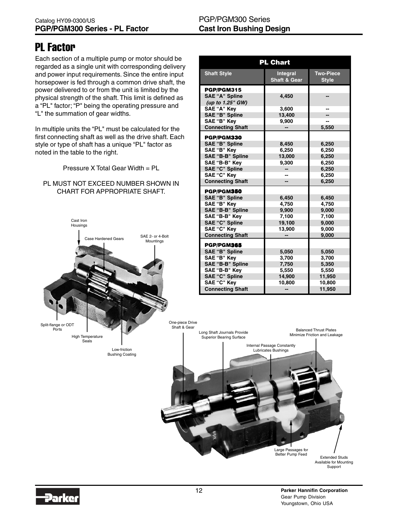# PL Factor

Each section of a multiple pump or motor should be regarded as a single unit with corresponding delivery and power input requirements. Since the entire input horsepower is fed through a common drive shaft, the power delivered to or from the unit is limited by the physical strength of the shaft. This limit is defined as a "PL" factor; "P" being the operating pressure and "L" the summation of gear widths.

In multiple units the "PL" must be calculated for the first connecting shaft as well as the drive shaft. Each style or type of shaft has a unique "PL" factor as noted in the table to the right.

Pressure X Total Gear Width = PL

#### PL MUST NOT EXCEED NUMBER SHOWN IN CHART FOR APPROPRIATE SHAFT.



| <b>PL Chart</b>         |                                            |                                  |  |  |  |  |  |  |  |
|-------------------------|--------------------------------------------|----------------------------------|--|--|--|--|--|--|--|
| <b>Shaft Style</b>      | <b>Integral</b><br><b>Shaft &amp; Gear</b> | <b>Two-Piece</b><br><b>Style</b> |  |  |  |  |  |  |  |
| PGP/PGM315              |                                            |                                  |  |  |  |  |  |  |  |
| <b>SAE "A" Spline</b>   | 4,450                                      |                                  |  |  |  |  |  |  |  |
| (up to 1.25" GW)        |                                            |                                  |  |  |  |  |  |  |  |
| <b>SAE "A" Key</b>      | 3.600                                      |                                  |  |  |  |  |  |  |  |
| <b>SAE "B" Spline</b>   | 13,400                                     |                                  |  |  |  |  |  |  |  |
| SAE "B" Key             | 9,900                                      |                                  |  |  |  |  |  |  |  |
| <b>Connecting Shaft</b> |                                            | 5,550                            |  |  |  |  |  |  |  |
| PGP/PGM330              |                                            |                                  |  |  |  |  |  |  |  |
| <b>SAE "B" Spline</b>   | 8,450                                      | 6,250                            |  |  |  |  |  |  |  |
| SAE "B" Kev             | 6,250                                      | 6,250                            |  |  |  |  |  |  |  |
| SAE "B-B" Spline        | 13,000                                     | 6,250                            |  |  |  |  |  |  |  |
| SAE "B-B" Key           | 9,300                                      | 6,250                            |  |  |  |  |  |  |  |
| <b>SAE "C" Spline</b>   | --                                         | 6,250                            |  |  |  |  |  |  |  |
| <b>SAE "C" Key</b>      |                                            | 6,250                            |  |  |  |  |  |  |  |
| <b>Connecting Shaft</b> |                                            | 6,250                            |  |  |  |  |  |  |  |
| PGP/PGM350              |                                            |                                  |  |  |  |  |  |  |  |
| <b>SAE "B" Spline</b>   | 6,450                                      | 6,450                            |  |  |  |  |  |  |  |
| SAE "B" Kev             | 4.750                                      | 4.750                            |  |  |  |  |  |  |  |
| <b>SAE "B-B" Spline</b> | 9.900                                      | 9,000                            |  |  |  |  |  |  |  |
| SAE "B-B" Kev           | 7,100                                      | 7,100                            |  |  |  |  |  |  |  |
| <b>SAE "C" Spline</b>   | 19,100                                     | 9,000                            |  |  |  |  |  |  |  |
| <b>SAE "C" Key</b>      | 13,900                                     | 9,000                            |  |  |  |  |  |  |  |
| <b>Connecting Shaft</b> |                                            | 9,000                            |  |  |  |  |  |  |  |
| PGP/PGM365              |                                            |                                  |  |  |  |  |  |  |  |
| <b>SAE "B" Spline</b>   | 5,050                                      | 5,050                            |  |  |  |  |  |  |  |
| SAE "B" Key             | 3,700                                      | 3,700                            |  |  |  |  |  |  |  |
| <b>SAE "B-B" Spline</b> | 7,750                                      | 5,350                            |  |  |  |  |  |  |  |
| SAE "B-B" Kev           | 5,550                                      | 5,550                            |  |  |  |  |  |  |  |
| <b>SAE "C" Spline</b>   | 14,900                                     | 11,950                           |  |  |  |  |  |  |  |
| SAE "C" Key             | 10,800                                     | 10,800                           |  |  |  |  |  |  |  |
| <b>Connecting Shaft</b> |                                            | 11,950                           |  |  |  |  |  |  |  |



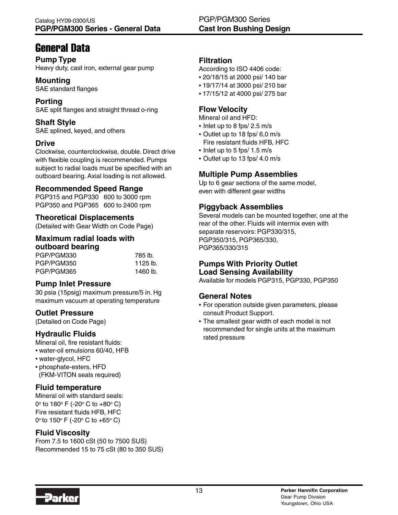# General Data

# **Pump Type**

Heavy duty, cast iron, external gear pump

## **Mounting**

SAE standard flanges

#### **Porting** SAE split flanges and straight thread o-ring

**Shaft Style** SAE splined, keyed, and others

## **Drive**

Clockwise, counterclockwise, double. Direct drive with flexible coupling is recommended. Pumps subject to radial loads must be specified with an outboard bearing. Axial loading is not allowed.

### **Recommended Speed Range**

PGP315 and PGP330 600 to 3000 rpm PGP350 and PGP365 600 to 2400 rpm

### **Theoretical Displacements**

(Detailed with Gear Width on Code Page)

#### **Maximum radial loads with outboard bearing**

| UULUUAI U DUAI III U |          |
|----------------------|----------|
| PGP/PGM330           | 785 lb.  |
| PGP/PGM350           | 1125 lb. |
| PGP/PGM365           | 1460 lb. |

### **Pump Inlet Pressure**

30 psia (15psig) maximum pressure/5 in. Hg maximum vacuum at operating temperature

### **Outlet Pressure**

(Detailed on Code Page)

### **Hydraulic Fluids**

Mineral oil, fire resistant fluids:

- water-oil emulsions 60/40, HFB
- water-glycol, HFC
- phosphate-esters, HFD (FKM-VITON seals required)

### **Fluid temperature**

Mineral oil with standard seals: 0º to 180º F (-20º C to +80º C) Fire resistant fluids HFB, HFC 0º to 150º F (-20º C to +65º C)

### **Fluid Viscosity**

From 7.5 to 1600 cSt (50 to 7500 SUS) Recommended 15 to 75 cSt (80 to 350 SUS)

### **Filtration**

According to ISO 4406 code:

- 20/18/15 at 2000 psi/ 140 bar
- 19/17/14 at 3000 psi/ 210 bar
- 17/15/12 at 4000 psi/ 275 bar

### **Flow Velocity**

Mineral oil and HFD:

- Inlet up to 8 fps/ 2.5 m/s
- Outlet up to 18 fps/ 6,0 m/s Fire resistant fluids HFB, HFC
- Inlet up to 5 fps/ 1.5 m/s
- Outlet up to 13 fps/ 4.0 m/s

# **Multiple Pump Assemblies**

Up to 6 gear sections of the same model, even with different gear widths

### **Piggyback Assemblies**

Several models can be mounted together, one at the rear of the other. Fluids will intermix even with separate reservoirs: PGP330/315, PGP350/315, PGP365/330, PGP365/330/315

# **Pumps With Priority Outlet Load Sensing Availability**

Available for models PGP315, PGP330, PGP350

# **General Notes**

- For operation outside given parameters, please consult Product Support.
- The smallest gear width of each model is not recommended for single units at the maximum rated pressure

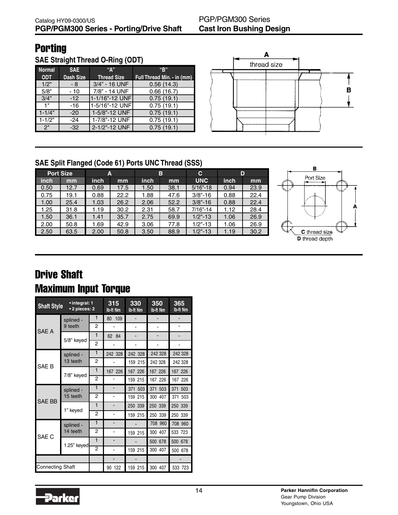# **Porting**

**SAE Straight Thread O-Ring (ODT)**

| <b>Normal</b> | <b>SAE</b>       | "А"                | "B"                        |
|---------------|------------------|--------------------|----------------------------|
| <b>ODT</b>    | <b>Dash Size</b> | <b>Thread Size</b> | Full Thread Min. - in (mm) |
| 1/2"          | - 8              | 3/4" - 16 UNF      | 0.56(14.3)                 |
| 5/8"          | - 10             | 7/8" - 14 UNF      | 0.66(16.7)                 |
| 3/4"          | $-12$            | 1-1/16"-12 UNF     | 0.75(19.1)                 |
| 1 "           | $-16$            | 1-5/16"-12 UNF     | 0.75(19.1)                 |
| $1 - 1/4"$    | $-20$            | 1-5/8"-12 UNF      | 0.75(19.1)                 |
| $1 - 1/2"$    | $-24$            | 1-7/8"-12 UNF      | 0.75(19.1)                 |
| 2"            | $-32$            | 2-1/2"-12 UNF      | 0.75(19.1)                 |



# **SAE Split Flanged (Code 61) Ports UNC Thread (SSS)**

|      | <b>Port Size</b> | А    |      |      | в    | C            | D    |      |
|------|------------------|------|------|------|------|--------------|------|------|
| inch | mm               | inch | mm   | inch | mm   | <b>UNC</b>   | inch | mm   |
| 0.50 | 12.7             | 0.69 | 17.5 | 1.50 | 38.1 | $5/16 - 18$  | 0.94 | 23.9 |
| 0.75 | 19.1             | 0.88 | 22.2 | 1.88 | 47.6 | $3/8 - 16$   | 0.88 | 22.4 |
| 1.00 | 25.4             | 1.03 | 26.2 | 2.06 | 52.2 | $3/8 - 16$   | 0.88 | 22.4 |
| 1.25 | 31.8             | 1.19 | 30.2 | 2.31 | 58.7 | $7/16" - 14$ | 1.12 | 28.4 |
| 1.50 | 36.1             | 1.41 | 35.7 | 2.75 | 69.9 | $1/2$ "-13   | 1.06 | 26.9 |
| 2.00 | 50.8             | 1.69 | 42.9 | 3.06 | 77.8 | $1/2 - 13$   | 1.06 | 26.9 |
| 2.50 | 63.5             | 2.00 | 50.8 | 3.50 | 88.9 | $1/2 - 13$   | 1.19 | 30.2 |



# Drive Shaft Maximum Input Torque

| <b>Shaft Style</b> | • integral: 1<br>• 2 pieces: 2 |                | 315<br>Ib-ft Nm | 330<br><b>Ib-ft Nm</b> | 350<br><b>Ib-ft Nm</b> | 365<br><b>Ib-ft Nm</b> |
|--------------------|--------------------------------|----------------|-----------------|------------------------|------------------------|------------------------|
|                    | splined -                      | 1              | 109<br>80       |                        |                        |                        |
| SAE A              | 9 teeth                        | 2              |                 |                        |                        |                        |
|                    |                                | $\mathbf{1}$   | 62<br>84        |                        |                        |                        |
|                    | 5/8" keyed                     | $\overline{2}$ |                 |                        |                        |                        |
|                    | splined -                      | 1              | 242 328         | 242 328                | 242 328                | 242 328                |
| SAE <sub>B</sub>   | 13 teeth                       | $\overline{2}$ |                 | 159 215                | 242 328                | 242 328                |
|                    |                                | $\mathbf{1}$   | 167 226         | 167 226                | 167 226                | 167 226                |
|                    | 7/8" keyed                     | $\overline{2}$ |                 | 159 215                | 167 226                | 167 226                |
|                    | splined -                      | 1              | -               | 371 503                | 371 503                | 371 503                |
| <b>SAE BB</b>      | 15 teeth                       | 2              |                 | 159 215                | 300 407                | 371 503                |
|                    | 1" keyed                       | $\mathbf{1}$   | -               | 250 339                | 250 339                | 250 339                |
|                    |                                | $\overline{2}$ |                 | 159 215                | 250 339                | 250 339                |
|                    | splined -                      | 1              | $\blacksquare$  |                        | 708 960                | 708 960                |
| SAE <sub>C</sub>   | 14 teeth                       | $\overline{c}$ |                 | 159 215                | 300 407                | 533 723                |
|                    | 1.25" keyed                    | $\mathbf{1}$   |                 |                        | 500 678                |                        |
|                    |                                | $\overline{2}$ |                 | 159 215                | 300 407                | 500 678                |
|                    |                                |                |                 |                        |                        |                        |
| Connecting Shaft   |                                |                | 90 122          | 159 215                | 300 407                | 533 723                |

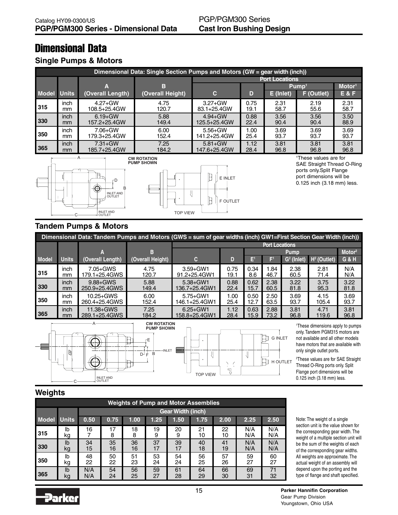# Dimensional Data

### **Single Pumps & Motors**

|              | Dimensional Data: Single Section Pumps and Motors (GW = gear width (inch)) |                  |                  |              |                       |           |                   |                    |  |  |  |  |  |
|--------------|----------------------------------------------------------------------------|------------------|------------------|--------------|-----------------------|-----------|-------------------|--------------------|--|--|--|--|--|
|              |                                                                            |                  |                  |              | <b>Port Locations</b> |           |                   |                    |  |  |  |  |  |
|              |                                                                            | A                | в                |              |                       |           | Pump <sup>1</sup> | Motor <sup>1</sup> |  |  |  |  |  |
| <b>Model</b> | <b>Units</b>                                                               | (Overall Length) | (Overall Height) | C            | D                     | E (Inlet) | F (Outlet)        | <b>E&amp;F</b>     |  |  |  |  |  |
| 315          | inch                                                                       | $4.27 + GW$      | 4.75             | $3.27 + GW$  | 0.75                  | 2.31      | 2.19              | 2.31               |  |  |  |  |  |
|              | mm                                                                         | 108.5+25.4GW     | 120.7            | 83.1+25.4GW  | 19.1                  | 58.7      | 55.6              | 58.7               |  |  |  |  |  |
| 330          | inch                                                                       | $6.19 + GW$      | 5.88             | $4.94 + GW$  | 0.88                  | 3.56      | 3.56              | 3.50               |  |  |  |  |  |
|              | mm                                                                         | 157.2+25.4GW     | 149.4            | 125.5+25.4GW | 22.4                  | 90.4      | 90.4              | 88.9               |  |  |  |  |  |
| 350          | inch                                                                       | 7.06+GW          | 6.00             | $5.56 + GW$  | 1.00                  | 3.69      | 3.69              | 3.69               |  |  |  |  |  |
|              | mm                                                                         | 179.3+25.4GW     | 152.4            | 141.2+25.4GW | 25.4                  | 93.7      | 93.7              | 93.7               |  |  |  |  |  |
| 365          | <i>inch</i>                                                                | $7.31 + GW$      | 7.25             | $5.81 + GW$  | 1.12                  | 3.81      | 3.81              | 3.81               |  |  |  |  |  |
|              | mm                                                                         | 185.7+25.4GW     | 184.2            | 147.6+25.4GW | 28.4                  | 96.8      | 96.8              | 96.8               |  |  |  |  |  |





<sup>1</sup>These values are for SAE Straight Thread O-Ring ports only.Split Flange port dimensions will be 0.125 inch (3.18 mm) less.

# **Tandem Pumps & Motors**

|              | Dimensional Data: Tandem Pumps and Motors (GWS = sum of gear widths (inch) GW1=First Section Gear Width (inch)) |                  |                  |               |                       |      |                |                        |               |                    |  |  |
|--------------|-----------------------------------------------------------------------------------------------------------------|------------------|------------------|---------------|-----------------------|------|----------------|------------------------|---------------|--------------------|--|--|
|              |                                                                                                                 |                  |                  |               | <b>Port Locations</b> |      |                |                        |               |                    |  |  |
|              |                                                                                                                 |                  | в                |               |                       |      |                | <b>Pump</b>            |               | Motor <sup>2</sup> |  |  |
| <b>Model</b> | <b>Units</b>                                                                                                    | (Overall Length) | (Overall Height) | C.            |                       | E    | $\mathsf{E}^1$ | G <sup>2</sup> (Inlet) | $H2$ (Outlet) | <b>G&amp;H</b>     |  |  |
| 315          | inch                                                                                                            | 7.05+GWS         | 4.75             | $3.59 + GW1$  | 0.75                  | 0.34 | 1.84           | 2.38                   | 2.81          | N/A                |  |  |
|              | <sub>mm</sub>                                                                                                   | 179.1+25.4GWS    | 120.7            | 91.2+25.4GW1  | 19.1                  | 8.6  | 46.7           | 60.5                   | 71.4          | N/A                |  |  |
| 330          | <i>inch</i>                                                                                                     | $9.88 + GWS$     | 5.88             | $5.38 + GW1$  | 0.88                  | 0.62 | 2.38           | 3.22                   | 3.75          | 3.22               |  |  |
|              | mm                                                                                                              | 250.9+25.4GWS    | 149.4            | 136.7+25.4GW1 | 22.4                  | 15.7 | 60.5           | 81.8                   | 95.3          | 81.8               |  |  |
| 350          | inch                                                                                                            | $10.25 + GWS$    | 6.00             | $5.75 + GW1$  | 1.00                  | 0.50 | 2.50           | 3.69                   | 4.15          | 3.69               |  |  |
|              | <sub>mm</sub>                                                                                                   | 260.4+25.4GWS    | 152.4            | 146.1+25.4GW1 | 25.4                  | 12.7 | 63.5           | 93.7                   | 105.4         | 93.7               |  |  |
| 365          | <i>inch</i>                                                                                                     | $11.38 + GWS$    | 7.25             | $6.25 + GW1$  | 1.12                  | 0.63 | 2.88           | 3.81                   | 4.71          | 3.81               |  |  |
|              | mm                                                                                                              | 289.1+25.4GWS    | 184.2            | 158.8+25.4GW1 | 28.4                  | 15.9 | 73.2           | 96.8                   | 119.6         | 96.8               |  |  |





<sup>1</sup>These dimensions apply to pumps only. Tandem PGM315 motors are not available and all other models have motors that are available with only single outlet ports.

<sup>2</sup>These values are for SAE Straight Thread O-Ring ports only. Split Flange port dimensions will be 0.125 inch (3.18 mm) less.

### **Weights**

|                    | <b>Weights of Pump and Motor Assemblies</b> |            |                                                              |          |          |          |          |          |            |            |  |  |  |
|--------------------|---------------------------------------------|------------|--------------------------------------------------------------|----------|----------|----------|----------|----------|------------|------------|--|--|--|
|                    |                                             |            | <b>Gear Width (inch)</b>                                     |          |          |          |          |          |            |            |  |  |  |
| <b>Model Units</b> |                                             | 0.50       | 0.75<br>1.25<br>1.50<br>1.75<br>2.00<br>2.25<br>2.50<br>1.00 |          |          |          |          |          |            |            |  |  |  |
| 315                | lb<br>kg                                    | 16         | 17<br>8                                                      | 18<br>8  | 19<br>9  | 20<br>9  | 21<br>10 | 22<br>10 | N/A<br>N/A | N/A<br>N/A |  |  |  |
| 330                | I <sub>b</sub><br>kg                        | 34<br>15   | 35<br>16                                                     | 36<br>16 | 37<br>17 | 39<br>17 | 40<br>18 | 41<br>19 | N/A<br>N/A | N/A<br>N/A |  |  |  |
| 350                | lb<br>kg                                    | 48<br>22   | 50<br>22                                                     | 51<br>23 | 53<br>24 | 54<br>24 | 56<br>25 | 57<br>26 | 59<br>27   | 60<br>27   |  |  |  |
| 365                | lb<br>kg                                    | N/A<br>N/A | 54<br>24                                                     | 56<br>25 | 59<br>27 | 61<br>28 | 64<br>29 | 66<br>30 | 69<br>31   | 71<br>32   |  |  |  |

Note: The weight of a single section unit is the value shown for the corresponding gear width. The weight of a multiple section unit will be the sum of the weights of each of the corresponding gear widths. All weights are approximate. The actual weight of an assembly will depend upon the porting and the type of flange and shaft specified.

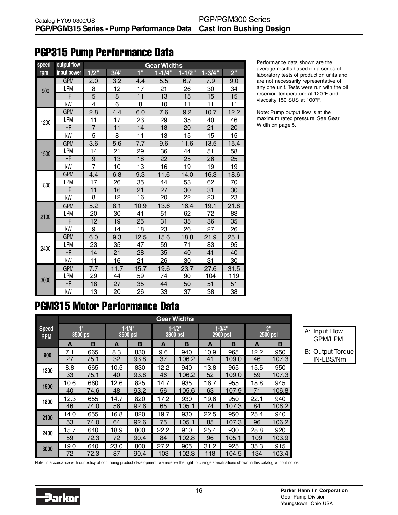# PGP315 Pump Performance Data

| speed | output flow |                | <b>Gear Widths</b> |                  |             |            |             |                 |  |  |  |  |
|-------|-------------|----------------|--------------------|------------------|-------------|------------|-------------|-----------------|--|--|--|--|
| rpm   | input power | $1/2$ "        | 3/4"               | 1 <sup>0</sup>   | $1 - 1/4$ " | $1 - 1/2"$ | $1 - 3/4$ " | 2 <sup>''</sup> |  |  |  |  |
|       | <b>GPM</b>  | 2.0            | 3.2                | 4.4              | 5.5         | 6.7        | 7.9         | 9.0             |  |  |  |  |
| 900   | <b>LPM</b>  | 8              | 12                 | 17               | 21          | 26         | 30          | 34              |  |  |  |  |
|       | HP          | 5              | 8                  | 11               | 13          | 15         | 15          | 15              |  |  |  |  |
|       | kW          | 4              | 6                  | 8                | 10          | 11         | 11          | 11              |  |  |  |  |
|       | <b>GPM</b>  | 2.8            | 4.4                | 6.0              | 7.6         | 9.2        | 10.7        | 12.2            |  |  |  |  |
| 1200  | <b>LPM</b>  | 11             | 17                 | 23               | 29          | 35         | 40          | 46              |  |  |  |  |
|       | HP          | $\overline{7}$ | 11                 | 14               | 18          | 20         | 21          | 20              |  |  |  |  |
|       | kW          | 5              | 8                  | 11               | 13          | 15         | 15          | 15              |  |  |  |  |
|       | <b>GPM</b>  | 3.6            | 5.6                | $\overline{7.7}$ | 9.6         | 11.6       | 13.5        | 15.4            |  |  |  |  |
| 1500  | <b>LPM</b>  | 14             | 21                 | 29               | 36          | 44         | 51          | 58              |  |  |  |  |
|       | <b>HP</b>   | 9              | 13                 | 18               | 22          | 25         | 26          | 25              |  |  |  |  |
|       | kW          | $\overline{7}$ | 10                 | 13               | 16          | 19         | 19          | 19              |  |  |  |  |
|       | <b>GPM</b>  | 4.4            | 6.8                | 9.3              | 11.6        | 14.0       | 16.3        | 18.6            |  |  |  |  |
| 1800  | LPM         | 17             | 26                 | 35               | 44          | 53         | 62          | 70              |  |  |  |  |
|       | <b>HP</b>   | 11             | 16                 | 21               | 27          | 30         | 31          | 30              |  |  |  |  |
|       | kW          | 8              | 12                 | 16               | 20          | 22         | 23          | 23              |  |  |  |  |
|       | <b>GPM</b>  | 5.2            | 8.1                | 10.9             | 13.6        | 16.4       | 19.1        | 21.8            |  |  |  |  |
| 2100  | <b>LPM</b>  | 20             | 30                 | 41               | 51          | 62         | 72          | 83              |  |  |  |  |
|       | <b>HP</b>   | 12             | 19                 | 25               | 31          | 35         | 36          | 35              |  |  |  |  |
|       | kW          | 9              | 14                 | 18               | 23          | 26         | 27          | 26              |  |  |  |  |
|       | <b>GPM</b>  | 6.0            | 9.3                | 12.5             | 15.6        | 18.8       | 21.9        | 25.1            |  |  |  |  |
| 2400  | LPM         | 23             | 35                 | 47               | 59          | 71         | 83          | 95              |  |  |  |  |
|       | HP          | 14             | 21                 | 28               | 35          | 40         | 41          | 40              |  |  |  |  |
|       | kW          | 11             | 16                 | 21               | 26          | 30         | 31          | 30              |  |  |  |  |
|       | <b>GPM</b>  | 7.7            | 11.7               | 15.7             | 19.6        | 23.7       | 27.6        | 31.5            |  |  |  |  |
| 3000  | LPM         | 29             | 44                 | 59               | 74          | 90         | 104         | 119             |  |  |  |  |
|       | <b>HP</b>   | 18             | 27                 | 35               | 44          | 50         | 51          | 51              |  |  |  |  |
|       | kW          | 13             | 20                 | 26               | 33          | 37         | 38          | 38              |  |  |  |  |

Performance data shown are the average results based on a series of laboratory tests of production units and are not necessarily representative of any one unit. Tests were run with the oil reservoir temperature at 120°F and viscosity 150 SUS at 100°F.

Note: Pump output flow is at the maximum rated pressure. See Gear Width on page 5.

# PGM315 Motor Performance Data

|                            |                |      |                         |      |      | <b>Gear Widths</b>      |      |                        |                             |       |
|----------------------------|----------------|------|-------------------------|------|------|-------------------------|------|------------------------|-----------------------------|-------|
| <b>Speed</b><br><b>RPM</b> | 1"<br>3500 psi |      | $1 - 1/4$ "<br>3500 psi |      |      | $1 - 1/2$ "<br>3300 psi |      | $1 - 3/4"$<br>2900 psi | 2 <sup>11</sup><br>2500 psi |       |
|                            | A              | в    | A                       | B    | A    | B                       | A    | в                      | А                           | в     |
| 900                        | 7.1            | 665  | 8.3                     | 830  | 9.6  | 940                     | 10.9 | 965                    | 12.2                        | 950   |
|                            | 27             | 75.1 | 32                      | 93.8 | 37   | 106.2                   | 41   | 109.0                  | 46                          | 107.3 |
| 1200                       | 8.8            | 665  | 10.5                    | 830  | 12.2 | 940                     | 13.8 | 965                    | 15.5                        | 950   |
|                            | 33             | 75.1 | 40                      | 93.8 | 46   | 106.2                   | 52   | 109.0                  | 59                          | 107.3 |
|                            | 10.6           | 660  | 12.6                    | 825  | 14.7 | 935                     | 16.7 | 955                    | 18.8                        | 945   |
| 1500                       | 40             | 74.6 | 48                      | 93.2 | 56   | 105.6                   | 63   | 107.9                  | 71                          | 106.8 |
| 1800                       | 12.3           | 655  | 14.7                    | 820  | 17.2 | 930                     | 19.6 | 950                    | 22.1                        | 940   |
|                            | 46             | 74.0 | 56                      | 92.6 | 65   | 105.1                   | 74   | 107.3                  | 84                          | 106.2 |
| 2100                       | 14.0           | 655  | 16.8                    | 820  | 19.7 | 930                     | 22.5 | 950                    | 25.4                        | 940   |
|                            | 53             | 74.0 | 64                      | 92.6 | 75   | 105.1                   | 85   | 107.3                  | 96                          | 106.2 |
| 2400                       | 15.7           | 640  | 18.9                    | 800  | 22.2 | 910                     | 25.4 | 930                    | 28.8                        | 920   |
|                            | 59             | 72.3 | 72                      | 90.4 | 84   | 102.8                   | 96   | 105.1                  | 109                         | 103.9 |
| 3000                       | 19.0           | 640  | 23.0                    | 800  | 27.2 | 905                     | 31.2 | 925                    | 35.3                        | 915   |
|                            | 72             | 72.3 | 87                      | 90.4 | 103  | 102.3                   | 118  | 104.5                  | 134                         | 103.4 |

A: Input Flow GPM/LPM B: Output Torque IN-LBS/Nm

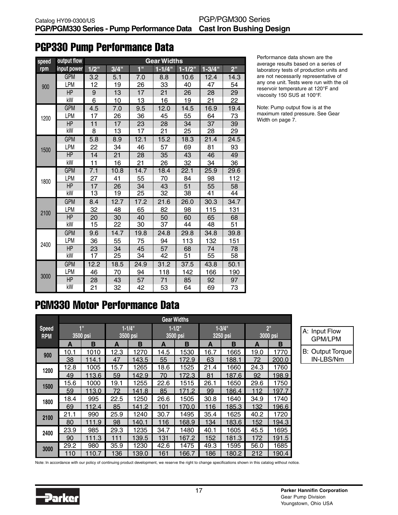# PGP330 Pump Performance Data

| speed | output flow |         |      |                  | <b>Gear Widths</b> |            |             |                 |
|-------|-------------|---------|------|------------------|--------------------|------------|-------------|-----------------|
| rpm   | input power | $1/2$ " | 3/4" | 1 <sup>1</sup>   | $1 - 1/4$ "        | $1 - 1/2"$ | $1 - 3/4$ " | 2 <sup>11</sup> |
|       | <b>GPM</b>  | 3.2     | 5.1  | $\overline{7.0}$ | 8.8                | 10.6       | 12.4        | 14.3            |
| 900   | <b>LPM</b>  | 12      | 19   | 26               | 33                 | 40         | 47          | 54              |
|       | <b>HP</b>   | 9       | 13   | 17               | 21                 | 26         | 28          | 29              |
|       | kW          | 6       | 10   | 13               | 16                 | 19         | 21          | 22              |
|       | <b>GPM</b>  | 4.5     | 7.0  | 9.5              | 12.0               | 14.5       | 16.9        | 19.4            |
| 1200  | LPM         | 17      | 26   | 36               | 45                 | 55         | 64          | 73              |
|       | HP          | 11      | 17   | 23               | 28                 | 34         | 37          | 39              |
|       | kW          | 8       | 13   | 17               | 21                 | 25         | 28          | 29              |
|       | <b>GPM</b>  | 5.8     | 8.9  | 12.1             | 15.2               | 18.3       | 21.4        | 24.5            |
| 1500  | LPM         | 22      | 34   | 46               | 57                 | 69         | 81          | 93              |
|       | HP          | 14      | 21   | 28               | 35                 | 43         | 46          | 49              |
|       | kW          | 11      | 16   | 21               | 26                 | 32         | 34          | 36              |
|       | <b>GPM</b>  | 7.1     | 10.8 | 14.7             | 18.4               | 22.1       | 25.9        | 29.6            |
| 1800  | <b>LPM</b>  | 27      | 41   | 55               | 70                 | 84         | 98          | 112             |
|       | <b>HP</b>   | 17      | 26   | 34               | 43                 | 51         | 55          | 58              |
|       | kW          | 13      | 19   | 25               | 32                 | 38         | 41          | 44              |
|       | <b>GPM</b>  | 8.4     | 12.7 | 17.2             | 21.6               | 26.0       | 30.3        | 34.7            |
| 2100  | LPM         | 32      | 48   | 65               | 82                 | 98         | 115         | 131             |
|       | HP          | 20      | 30   | 40               | 50                 | 60         | 65          | 68              |
|       | kW          | 15      | 22   | 30               | 37                 | 44         | 48          | 51              |
|       | <b>GPM</b>  | 9.6     | 14.7 | 19.8             | 24.8               | 29.8       | 34.8        | 39.8            |
| 2400  | LPM         | 36      | 55   | 75               | 94                 | 113        | 132         | 151             |
|       | HP          | 23      | 34   | 45               | 57                 | 68         | 74          | 78              |
|       | kW          | 17      | 25   | 34               | 42                 | 51         | 55          | 58              |
|       | <b>GPM</b>  | 12.2    | 18.5 | 24.9             | 31.2               | 37.5       | 43.8        | 50.1            |
|       | LPM         | 46      | 70   | 94               | 118                | 142        | 166         | 190             |
| 3000  | <b>HP</b>   | 28      | 43   | 57               | 71                 | 85         | 92          | 97              |
|       | kW          | 21      | 32   | 42               | 53                 | 64         | 69          | 73              |

Performance data shown are the average results based on a series of laboratory tests of production units and are not necessarily representative of any one unit. Tests were run with the oil reservoir temperature at 120°F and viscosity 150 SUS at 100°F.

Note: Pump output flow is at the maximum rated pressure. See Gear Width on page 7.

# PGM330 Motor Performance Data

|                            |                |       |                        |       |      | <b>Gear Widths</b>      |      |                        |                             |       |
|----------------------------|----------------|-------|------------------------|-------|------|-------------------------|------|------------------------|-----------------------------|-------|
| <b>Speed</b><br><b>RPM</b> | 1"<br>3500 psi |       | $1 - 1/4"$<br>3500 psi |       |      | $1 - 1/2$ "<br>3500 psi |      | $1 - 3/4"$<br>3250 psi | 2 <sup>11</sup><br>3000 psi |       |
|                            | A              | в     | A                      | B     | A    | B                       | A    | в                      | A                           | в     |
| 900                        | 10.1           | 1010  | 12.3                   | 1270  | 14.5 | 1530                    | 16.7 | 1665                   | 19.0                        | 1770  |
|                            | 38             | 114.1 | 47                     | 143.5 | 55   | 172.9                   | 63   | 188.1                  | 72                          | 200.0 |
| 1200                       | 12.8           | 1005  | 15.7                   | 1265  | 18.6 | 1525                    | 21.4 | 1660                   | 24.3                        | 1760  |
|                            | 49             | 113.6 | 59                     | 142.9 | 70   | 172.3                   | 81   | 187.6                  | 92                          | 198.9 |
| 1500                       | 15.6           | 1000  | 19.1                   | 1255  | 22.6 | 1515                    | 26.1 | 1650                   | 29.6                        | 1750  |
|                            | 59             | 113.0 | 72                     | 141.8 | 85   | 171.2                   | 99   | 186.4                  | 112                         | 197.7 |
| 1800                       | 18.4           | 995   | 22.5                   | 1250  | 26.6 | 1505                    | 30.8 | 1640                   | 34.9                        | 1740  |
|                            | 69             | 112.4 | 85                     | 141.2 | 101  | 170.0                   | 116  | 185.3                  | 132                         | 196.6 |
| 2100                       | 21.1           | 990   | 25.9                   | 1240  | 30.7 | 1495                    | 35.4 | 1625                   | 40.2                        | 1720  |
|                            | 80             | 111.9 | 98                     | 140.1 | 116  | 168.9                   | 134  | 183.6                  | 152                         | 194.3 |
| 2400                       | 23.9           | 985   | 29.3                   | 1235  | 34.7 | 1480                    | 40.1 | 1605                   | 45.5                        | 1695  |
|                            | 90             | 111.3 | 111                    | 139.5 | 131  | 167.2                   | 152  | 181.3                  | 172                         | 191.5 |
| 3000                       | 29.2           | 980   | 35.9                   | 1230  | 42.6 | 1475                    | 49.3 | 1595                   | 56.0                        | 1685  |
|                            | 110            | 110.7 | 136                    | 139.0 | 161  | 166.7                   | 186  | 180.2                  | 212                         | 190.4 |

| A: Input Flow<br><b>GPM/LPM</b>      |
|--------------------------------------|
| <b>B: Output Torque</b><br>IN-LBS/Nm |

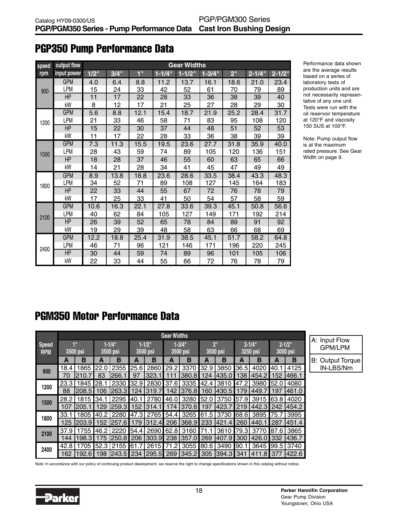| speed | output flow |                  |      |      |             | <b>Gear Widths</b> |            |                 |            |            |
|-------|-------------|------------------|------|------|-------------|--------------------|------------|-----------------|------------|------------|
| rpm   | input power | $1/2$ "          | 3/4" | 1"   | $1 - 1/4$ " | $1 - 1/2$ "        | $1 - 3/4"$ | 2 <sup>''</sup> | $2 - 1/4"$ | $2 - 1/2"$ |
|       | <b>GPM</b>  | 4.0              | 6.4  | 8.8  | 11.2        | 13.7               | 16.1       | 18.6            | 21.0       | 23.4       |
| 900   | LPM         | 15               | 24   | 33   | 42          | 52                 | 61         | 70              | 79         | 89         |
|       | HP          | 11               | 17   | 22   | 28          | 33                 | 36         | 38              | 39         | 40         |
|       | kW          | 8                | 12   | 17   | 21          | 25                 | 27         | 28              | 29         | 30         |
|       | <b>GPM</b>  | 5.6              | 8.8  | 12.1 | 15.4        | 18.7               | 21.9       | 25.2            | 28.4       | 31.7       |
| 1200  | LPM         | 21               | 33   | 46   | 58          | 71                 | 83         | 95              | 108        | 120        |
|       | HP          | 15               | 22   | 30   | 37          | 44                 | 48         | 51              | 52         | 53         |
|       | kW          | 11               | 17   | 22   | 28          | 33                 | 36         | 38              | 39         | 39         |
|       | <b>GPM</b>  | $\overline{7.3}$ | 11.3 | 15.5 | 19.5        | 23.6               | 27.7       | 31.8            | 35.9       | 40.0       |
| 1500  | LPM         | 28               | 43   | 59   | 74          | 89                 | 105        | 120             | 136        | 151        |
|       | HP          | 18               | 28   | 37   | 46          | 55                 | 60         | 63              | 65         | 66         |
|       | kW          | 14               | 21   | 28   | 34          | 41                 | 45         | 47              | 49         | 49         |
|       | <b>GPM</b>  | 8.9              | 13.8 | 18.8 | 23.6        | 28.6               | 33.5       | 38.4            | 43.3       | 48.3       |
| 1800  | LPM         | 34               | 52   | 71   | 89          | 108                | 127        | 145             | 164        | 183        |
|       | <b>HP</b>   | 22               | 33   | 44   | 55          | 67                 | 72         | 76              | 78         | 79         |
|       | kW          | 17               | 25   | 33   | 41          | 50                 | 54         | 57              | 58         | 59         |
|       | <b>GPM</b>  | 10.6             | 16.3 | 22.1 | 27.8        | 33.6               | 39.3       | 45.1            | 50.8       | 56.6       |
| 2100  | LPM         | 40               | 62   | 84   | 105         | 127                | 149        | 171             | 192        | 214        |
|       | HP          | 26               | 39   | 52   | 65          | 78                 | 84         | 89              | 91         | 92         |
|       | kW          | 19               | 29   | 39   | 48          | 58                 | 63         | 66              | 68         | 69         |
|       | <b>GPM</b>  | 12.2             | 18.8 | 25.4 | 31.9        | 38.5               | 45.1       | 51.7            | 58.2       | 64.8       |
| 2400  | LPM         | 46               | 71   | 96   | 121         | 146                | 171        | 196             | 220        | 245        |
|       | HP          | 30               | 44   | 59   | 74          | 89                 | 96         | 101             | 105        | 106        |
|       | kW          | 22               | 33   | 44   | 55          | 66                 | 72         | 76              | 78         | 79         |

# PGP350 Pump Performance Data

Performance data shown are the average results based on a series of laboratory tests of production units and are not necessarily representative of any one unit. Tests were run with the oil reservoir temperature at 120°F and viscosity 150 SUS at 100°F.

Note: Pump output flow is at the maximum rated pressure. See Gear Width on page 9.

# PGM350 Motor Performance Data

|                            | <b>Gear Widths</b>         |             |                         |                           |                         |                |                         |                          |                             |        |                         |           |                         |                |                                 |
|----------------------------|----------------------------|-------------|-------------------------|---------------------------|-------------------------|----------------|-------------------------|--------------------------|-----------------------------|--------|-------------------------|-----------|-------------------------|----------------|---------------------------------|
| <b>Speed</b><br><b>RPM</b> | $\blacksquare$<br>3500 psi |             | $1 - 1/4$ "<br>3500 psi |                           | $1 - 1/2$ "<br>3500 psi |                | $1 - 3/4$ "<br>3500 psi |                          | 2 <sup>11</sup><br>3500 psi |        | $2 - 1/4$ "<br>3250 psi |           | $2 - 1/2$ "<br>3000 psi |                | A: Input Flow<br><b>GPM/LPM</b> |
|                            | A                          | в           | А                       | в                         | А                       | в              | А                       | в                        | А                           | в      | А                       | в         | A                       | в              | <b>B: Output Torque</b>         |
| 900                        | 18.4                       | 1865        | l22.0                   | 2355                      |                         | 25.6 2860 29.2 |                         | 3370                     | 32.9                        | 3850   | 36.5                    | 4020 40.1 |                         | 4125           | IN-LBS/Nm                       |
|                            | 70                         | 1210.7      | 83                      | l266.                     | 97                      | 323.           |                         | 380.8                    | 124                         | 435.0  | 138                     | 454.2     | 152                     | 1466.1         |                                 |
| 1200                       | 23.3                       | 1845        | I28.                    | 2330                      |                         | 32.9 2830 37.6 |                         | 3335                     | 142.4                       | 3810   | 147.2                   | 3980      | 152.0                   | 4080           |                                 |
|                            | 88                         | 208.5       |                         | 106 263.3                 |                         | 124   319.7    | 142                     | 1376.81                  | 160                         | 1430.5 | 179                     | 449.      | 197                     | 1461.0         |                                 |
| 1500                       | 28.2                       | 1815 34.1   |                         | 2295                      | 40.1                    | 2780 46.0      |                         | 3280 52.0                |                             | 3750   | 57.9                    | 3915 63.8 |                         | 4020           |                                 |
|                            | 107                        | 1205.1      |                         | 129 259.3                 |                         | 152   314.1    | 174                     | I370.6 I 197             |                             | 423.7  | 219                     | 442.31242 |                         | 1454.2         |                                 |
| 1800                       | 33.1                       | 1805        | 40.2                    | 2280                      |                         | 47.3 2765 54.4 |                         | 3265 61.5                |                             | 3730   | <b>68.6</b>             | 3895 75.7 |                         | 3995           |                                 |
|                            |                            | 125   203.9 |                         | 152   257.6               |                         | 179 312.4      | <b>206</b>              | 368.9   233              |                             | 421.4  | 260                     | 440.1     | l 287                   | 1451.4         |                                 |
| 2100                       | 37.9                       | 1755        |                         | 46.2 2220                 |                         |                |                         | 54.4 2690 62.8 3160 71.1 |                             | 3610   | 79.3                    |           |                         | 3770 87.6 3865 |                                 |
|                            | 144                        | 198.3       | 175                     | 250.8   206   303.9   238 |                         |                |                         | 357.0                    | 269                         | 407.9  | 300                     | 426.01332 |                         | 1436.7         |                                 |
| 2400                       | 42.8                       | 1705        |                         | 52.3 2155 61.7            |                         | 2615 71.2      |                         | 3055 80.6                |                             | 3490   | 190.1                   |           |                         | 3645 99.5 3740 |                                 |
|                            | 162                        | 192.6       |                         | 198 243.5 234 295.5 269   |                         |                |                         | 345.2   305              |                             | 394.3  | 341                     | 411.8 377 |                         | 1422.6         |                                 |

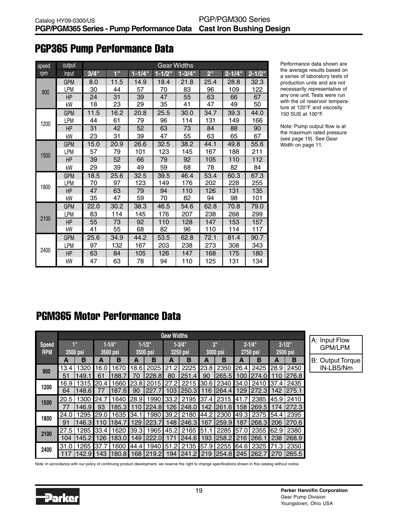| speed | output     | Gear Widths |             |            |             |            |                 |            |            |  |  |  |  |  |
|-------|------------|-------------|-------------|------------|-------------|------------|-----------------|------------|------------|--|--|--|--|--|
| rpm   | input      | 3/4"        | $1^{\circ}$ | $1 - 1/4"$ | $1 - 1/2$ " | $1 - 3/4"$ | 2 <sup>''</sup> | $2 - 1/4"$ | $2 - 1/2"$ |  |  |  |  |  |
| 900   | <b>GPM</b> | 8.0         | 11.5        | 14.9       | 18.4        | 21.8       | 25.4            | 28.8       | 32.3       |  |  |  |  |  |
|       | LPM        | 30          | 44          | 57         | 70          | 83         | 96              | 109        | 122        |  |  |  |  |  |
|       | HP         | 24          | 31          | 39         | 47          | 55         | 63              | 66         | 67         |  |  |  |  |  |
|       | kW         | 18          | 23          | 29         | 35          | 41         | 47              | 49         | 50         |  |  |  |  |  |
| 1200  | <b>GPM</b> | 11.5        | 16.2        | 20.8       | 25.5        | 30.0       | 34.7            | 39.3       | 44.0       |  |  |  |  |  |
|       | <b>LPM</b> | 44          | 61          | 79         | 96          | 114        | 131             | 149        | 166        |  |  |  |  |  |
|       | HP         | 31          | 42          | 52         | 63          | 73         | 84              | 88         | 90         |  |  |  |  |  |
|       | kW         | 23          | 31          | 39         | 47          | 55         | 63              | 65         | 67         |  |  |  |  |  |
| 1500  | <b>GPM</b> | 15.0        | 20.9        | 26.6       | 32.5        | 38.2       | 44.1            | 49.8       | 55.6       |  |  |  |  |  |
|       | <b>LPM</b> | 57          | 79          | 101        | 123         | 145        | 167             | 188        | 211        |  |  |  |  |  |
|       | HP         | 39          | 52          | 66         | 79          | 92         | 105             | 110        | 112        |  |  |  |  |  |
|       | kW         | 29          | 39          | 49         | 59          | 68         | 78              | 82         | 84         |  |  |  |  |  |
| 1800  | <b>GPM</b> | 18.5        | 25.6        | 32.5       | 39.5        | 46.4       | 53.4            | 60.3       | 67.3       |  |  |  |  |  |
|       | LPM        | 70          | 97          | 123        | 149         | 176        | 202             | 228        | 255        |  |  |  |  |  |
|       | HP         | 47          | 63          | 79         | 94          | 110        | 126             | 131        | 135        |  |  |  |  |  |
|       | kW         | 35          | 47          | 59         | 70          | 82         | 94              | 98         | 101        |  |  |  |  |  |
| 2100  | <b>GPM</b> | 22.0        | 30.2        | 38.3       | 46.5        | 54.6       | 62.8            | 70.8       | 79.0       |  |  |  |  |  |
|       | <b>LPM</b> | 83          | 114         | 145        | 176         | 207        | 238             | 268        | 299        |  |  |  |  |  |
|       | HP         | 55          | 73          | 92         | 110         | 128        | 147             | 153        | 157        |  |  |  |  |  |
|       | kW         | 41          | 55          | 68         | 82          | 96         | 110             | 114        | 117        |  |  |  |  |  |
| 2400  | <b>GPM</b> | 25.6        | 34.9        | 44.2       | 53.5        | 62.8       | 72.1            | 81.4       | 90.7       |  |  |  |  |  |
|       | <b>LPM</b> | 97          | 132         | 167        | 203         | 238        | 273             | 308        | 343        |  |  |  |  |  |
|       | HP         | 63          | 84          | 105        | 126         | 147        | 168             | 175        | 180        |  |  |  |  |  |
|       | kW         | 47          | 63          | 78         | 94          | 110        | 125             | 131        | 134        |  |  |  |  |  |

# PGP365 Pump Performance Data

Performance data shown are the average results based on a series of laboratory tests of production units and are not necessarily representative of any one unit. Tests were run with the oil reservoir temperature at 120°F and viscosity 150 SUS at 100°F.

Note: Pump output flow is at the maximum rated pressure (see page 19). See Gear Width on page 11.

# PGM365 Motor Performance Data

|                            | <b>Gear Widths</b>         |        |                         |        |                         |             |                         |                                         |                             |        |                         |                |                         |           |                                 |
|----------------------------|----------------------------|--------|-------------------------|--------|-------------------------|-------------|-------------------------|-----------------------------------------|-----------------------------|--------|-------------------------|----------------|-------------------------|-----------|---------------------------------|
| <b>Speed</b><br><b>RPM</b> | $\blacksquare$<br>3500 psi |        | $1 - 1/4$ "<br>3500 psi |        | $1 - 1/2$ "<br>3500 psi |             | $1 - 3/4$ "<br>3250 psi |                                         | 2 <sup>11</sup><br>3000 psi |        | $2 - 1/4$ "<br>2750 psi |                | $2 - 1/2$ "<br>2500 psi |           | A: Input Flow<br><b>GPM/LPM</b> |
|                            | A                          | в      | в<br>А                  |        | А                       | в           | в<br>А                  |                                         | в<br>А                      |        | В<br>А                  |                | A                       | В         | <b>B: Output Torque</b>         |
| 900                        | 13.4                       | 1320   | 16.0                    | 1670   | 18.6                    | 2025        | 21.2                    | 2225                                    | 23.8                        | 2350   | 26.4                    | 2425           |                         | 28.9 2450 | IN-LBS/Nm                       |
|                            | 51                         | 149.1  | 61                      | 188.7  | 70                      | 228.8       | 80                      | 251.4                                   | 90                          | 265.5  | 100                     | 274.0          | 10                      | 276.8     |                                 |
| 1200                       | 16.9                       | 1315   | l20.4                   | 1660   | 123.81                  | 2015        | 27.                     | 2215                                    | l30.6                       | 2340   | 134.0                   | 2410           |                         | 37.4 2435 |                                 |
|                            | 64                         | 148.61 |                         | 187.61 | 90                      | 227         | 103                     | 250.3                                   | 16                          | 1264.4 | 129                     | 272.3          | 142                     | 1275.1    |                                 |
| 1500                       | 20.5                       | 1300   | 24.7                    | 1640   | 28.9                    | 1990        | 33.2                    | 2195                                    | 37.4                        | 2315   | <b>141.7</b>            | 2385           |                         | 45.9 2410 |                                 |
|                            | 77                         | 146.9  | 93                      | 185.3  |                         | 224.8       | 126                     | 248.0                                   | 142                         | 261.6  | 158                     | 269.5          | 174                     | 1272.3    |                                 |
| 1800                       | 24.0                       | 1295   | l29.0                   | 1635   | <b>1</b> 34.1           | 1980        | 39.2                    | 2180                                    | 144.2                       | 2300   | 149.3                   | 2375           |                         | 54.4 2395 |                                 |
|                            | 91                         | 146.31 | 110                     | 184.7  | 129                     | 223.7       | 148                     | 246.3                                   | l 167                       | 259.9  | 187                     | 268.3          | l 206                   | 1270.6    |                                 |
| 2100                       | 27.5                       | 1285   | 33.4                    | 1620   | 39.3                    | 1965        | 45.2                    | 2165                                    | 51.1                        | 2285   | 157.0                   | 2355 62.9 2380 |                         |           |                                 |
|                            | 104                        | 145.2  | 126                     | 183.0  | 149                     | 222.        |                         | 244.6                                   | 193                         | 258.2  | 216                     | 266.1          | 238                     | 268.9     |                                 |
| 2400                       | 31.0                       | 1265   | l37.7                   | 1600   | 44.4                    | 1940        | 51.2                    | 2135                                    | 57.9                        | 2255   | 64.6                    | 2325           |                         | 71.3 2350 |                                 |
|                            | 117                        | 142.9  | 143                     | 180.8  |                         | 168   219.2 |                         | 194   241.2   219   254.8   245   262.7 |                             |        |                         |                | 270                     | 265.5     |                                 |

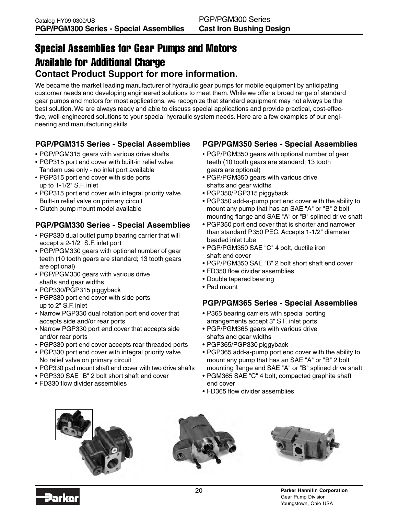# Special Assemblies for Gear Pumps and Motors Available for Additional Charge **Contact Product Support for more information.**

We became the market leading manufacturer of hydraulic gear pumps for mobile equipment by anticipating customer needs and developing engineered solutions to meet them. While we offer a broad range of standard gear pumps and motors for most applications, we recognize that standard equipment may not always be the best solution. We are always ready and able to discuss special applications and provide practical, cost-effective, well-engineered solutions to your special hydraulic system needs. Here are a few examples of our engineering and manufacturing skills.

## **PGP/PGM315 Series - Special Assemblies**

- PGP/PGM315 gears with various drive shafts
- PGP315 port end cover with built-in relief valve Tandem use only - no inlet port available
- PGP315 port end cover with side ports up to 1-1/2" S.F. inlet
- PGP315 port end cover with integral priority valve Built-in relief valve on primary circuit
- Clutch pump mount model available

## **PGP/PGM330 Series - Special Assemblies**

- PGP330 dual outlet pump bearing carrier that will accept a 2-1/2" S.F. inlet port
- PGP/PGM330 gears with optional number of gear teeth (10 tooth gears are standard; 13 tooth gears are optional)
- PGP/PGM330 gears with various drive shafts and gear widths
- PGP330/PGP315 piggyback
- PGP330 port end cover with side ports up to 2" S.F. inlet
- Narrow PGP330 dual rotation port end cover that accepts side and/or rear ports
- Narrow PGP330 port end cover that accepts side and/or rear ports
- PGP330 port end cover accepts rear threaded ports
- PGP330 port end cover with integral priority valve No relief valve on primary circuit
- PGP330 pad mount shaft end cover with two drive shafts
- PGP330 SAE "B" 2 bolt short shaft end cover
- FD330 flow divider assemblies

## **PGP/PGM350 Series - Special Assemblies**

- PGP/PGM350 gears with optional number of gear teeth (10 tooth gears are standard; 13 tooth gears are optional)
- PGP/PGM350 gears with various drive shafts and gear widths
- PGP350/PGP315 piggyback
- PGP350 add-a-pump port end cover with the ability to mount any pump that has an SAE "A" or "B" 2 bolt mounting flange and SAE "A" or "B" splined drive shaft
- PGP350 port end cover that is shorter and narrower than standard P350 PEC. Accepts 1-1/2" diameter beaded inlet tube
- PGP/PGM350 SAE "C" 4 bolt, ductile iron shaft end cover
- PGP/PGM350 SAE "B" 2 bolt short shaft end cover
- FD350 flow divider assemblies
- Double tapered bearing
- Pad mount

### **PGP/PGM365 Series - Special Assemblies**

- P365 bearing carriers with special porting arrangements accept 3" S.F. inlet ports
- PGP/PGM365 gears with various drive shafts and gear widths
- PGP365/PGP330 piggyback
- PGP365 add-a-pump port end cover with the ability to mount any pump that has an SAE "A" or "B" 2 bolt mounting flange and SAE "A" or "B" splined drive shaft
- PGM365 SAE "C" 4 bolt, compacted graphite shaft end cover
- FD365 flow divider assemblies





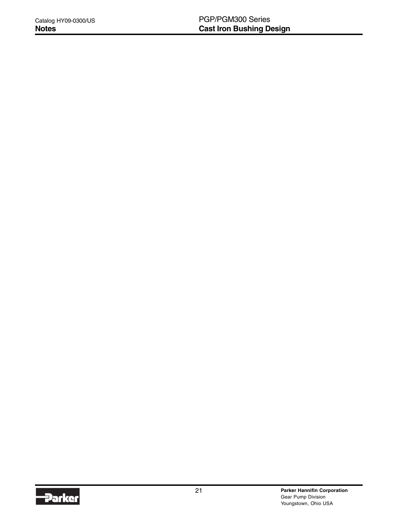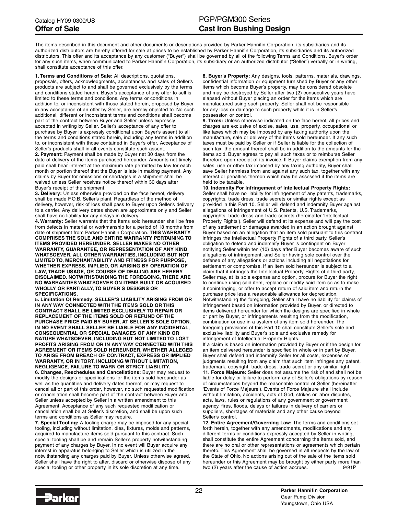The items described in this document and other documents or descriptions provided by Parker Hannifin Corporation, its subsidiaries and its authorized distributors are hereby offered for sale at prices to be established by Parker Hannifin Corporation, its subsidiaries and its authorized distributors. This offer and its acceptance by any customer ("Buyer") shall be governed by all of the following Terms and Conditions. Buyer's order for any such items, when communicated to Parker Hannifin Corporation, its subsidiary or an authorized distributor ("Seller") verbally or in writing, shall constitute acceptance of this offer.

**1. Terms and Conditions of Sale:** All descriptions, quotations, proposals, offers, acknowledgments, acceptances and sales of Seller's products are subject to and shall be governed exclusively by the terms and conditions stated herein. Buyer's acceptance of any offer to sell is limited to these terms and conditions. Any terms or conditions in addition to, or inconsistent with those stated herein, proposed by Buyer in any acceptance of an offer by Seller, are hereby objected to. No such additional, different or inconsistent terms and conditions shall become part of the contract between Buyer and Seller unless expressly accepted in writing by Seller. Seller's acceptance of any offer to purchase by Buyer is expressly conditional upon Buyer's assent to all the terms and conditions stated herein, including any terms in addition to, or inconsistent with those contained in Buyer's offer, Acceptance of Seller's products shall in all events constitute such assent.

**2. Payment:** Payment shall be made by Buyer net 30 days from the date of delivery of the items purchased hereunder. Amounts not timely paid shall bear interest at the maximum rate permitted by law for each month or portion thereof that the Buyer is late in making payment. Any claims by Buyer for omissions or shortages in a shipment shall be waived unless Seller receives notice thereof within 30 days after Buyer's receipt of the shipment.

**3. Delivery:** Unless otherwise provided on the face hereof, delivery shall be made F.O.B. Seller's plant. Regardless of the method of delivery, however, risk of loss shall pass to Buyer upon Seller's delivery to a carrier. Any delivery dates shown are approximate only and Seller shall have no liability for any delays in delivery.

**4. Warranty:** Seller warrants that the items sold hereunder shall be free from defects in material or workmanship for a period of 18 months from date of shipment from Parker Hannifin Corporation. **THIS WARRANTY COMPRISES THE SOLE AND ENTIRE WARRANTY PERTAINING TO ITEMS PROVIDED HEREUNDER. SELLER MAKES NO OTHER WARRANTY, GUARANTEE, OR REPRESENTATION OF ANY KIND WHATSOEVER. ALL OTHER WARRANTIES, INCLUDING BUT NOT LIMITED TO, MERCHANTABILITY AND FITNESS FOR PURPOSE, WHETHER EXPRESS, IMPLIED, OR ARISING BY OPERATION OF LAW, TRADE USAGE, OR COURSE OF DEALING ARE HEREBY DISCLAIMED. NOTWITHSTANDING THE FOREGOING, THERE ARE NO WARRANTIES WHATSOEVER ON ITEMS BUILT OR ACQUIRED WHOLLY OR PARTIALLY, TO BUYER'S DESIGNS OR SPECIFICATIONS.**

**5. Limitation Of Remedy: SELLER'S LIABILITY ARISING FROM OR IN ANY WAY CONNECTED WITH THE ITEMS SOLD OR THIS CONTRACT SHALL BE LIMITED EXCLUSIVELY TO REPAIR OR REPLACEMENT OF THE ITEMS SOLD OR REFUND OF THE PURCHASE PRICE PAID BY BUYER, AT SELLER'S SOLE OPTION. IN NO EVENT SHALL SELLER BE LIABLE FOR ANY INCIDENTAL, CONSEQUENTIAL OR SPECIAL DAMAGES OF ANY KIND OR NATURE WHATSOEVER, INCLUDING BUT NOT LIMITED TO LOST PROFITS ARISING FROM OR IN ANY WAY CONNECTED WITH THIS AGREEMENT OR ITEMS SOLD HEREUNDER, WHETHER ALLEGED TO ARISE FROM BREACH OF CONTRACT, EXPRESS OR IMPLIED WARRANTY, OR IN TORT, INCLUDING WITHOUT LIMITATION, NEGLIGENCE, FAILURE TO WARN OR STRICT LIABILITY.**

**6. Changes, Reschedules and Cancellations:** Buyer may request to modify the designs or specifications for the items sold hereunder as well as the quantities and delivery dates thereof, or may request to cancel all or part of this order, however, no such requested modification or cancellation shall become part of the contract between Buyer and Seller unless accepted by Seller in a written amendment to this Agreement. Acceptance of any such requested modification or cancellation shall be at Seller's discretion, and shall be upon such terms and conditions as Seller may require.

**7. Special Tooling:** A tooling charge may be imposed for any special tooling, including without limitation, dies, fixtures, molds and patterns, acquired to manufacture items sold pursuant to this contract. Such special tooling shall be and remain Seller's property notwithstanding payment of any charges by Buyer. In no event will Buyer acquire any interest in apparatus belonging to Seller which is utilized in the notwithstanding any charges paid by Buyer. Unless otherwise agreed, Seller shall have the right to alter, discard or otherwise dispose of any special tooling or other property in its sole discretion at any time.

**8. Buyer's Property:** Any designs, tools, patterns, materials, drawings, confidential information or equipment furnished by Buyer or any other items which become Buyer's property, may be considered obsolete and may be destroyed by Seller after two (2) consecutive years have elapsed without Buyer placing an order for the items which are manufactured using such property, Seller shall not be responsible for any loss or damage to such property while it is in Seller's possession or control.

**9. Taxes:** Unless otherwise indicated on the face hereof, all prices and charges are exclusive of excise, sales, use, property, occupational or like taxes which may be imposed by any taxing authority upon the manufacture, sale or delivery of the items sold hereunder. If any such taxes must be paid by Seller or if Seller is liable for the collection of such tax, the amount thereof shall be in addition to the amounts for the items sold. Buyer agrees to pay all such taxes or to reimburse Seller therefore upon receipt of its invoice. If Buyer claims exemption from any sales, use or other tax imposed by any taxing authority, Buyer shall save Seller harmless from and against any such tax, together with any interest or penalties thereon which may be assessed if the items are held to be taxable.

**10. Indemnity For Infringement of Intellectual Property Rights:** Seller shall have no liability for infringement of any patents, trademarks, copyrights, trade dress, trade secrets or similar rights except as provided in this Part 10. Seller will defend and indemnify Buyer against allegations of infringement of U.S. Patents, U.S. Trademarks, copyrights, trade dress and trade secrets (hereinafter 'Intellectual Property Rights'). Seller will defend at its expense and will pay the cost of any settlement or damages awarded in an action brought against Buyer based on an allegation that an item sold pursuant to this contract infringes the Intellectual Property Rights of a third party. Seller's obligation to defend and indemnify Buyer is contingent on Buyer notifying Seller within ten (10) days after Buyer becomes aware of such allegations of infringement, and Seller having sole control over the defense of any allegations or actions including all negotiations for settlement or compromise. If an item sold hereunder is subject to a claim that it infringes the Intellectual Property Rights of a third party, Seller may, at its sole expense and option, procure for Buyer the right to continue using said item, replace or modify said item so as to make it noninfringing, or offer to accept return of said item and return the purchase price less a reasonable allowance for depreciation. Notwithstanding the foregoing, Seller shall have no liability for claims of infringement based on information provided by Buyer, or directed to items delivered hereunder for which the designs are specified in whole or part by Buyer, or infringements resulting from the modification, combination or use in a system of any item sold hereunder. The foregoing provisions of this Part 10 shall constitute Seller's sole and exclusive liability and Buyer's sole and exclusive remedy for infringement of Intellectual Property Rights.

If a claim is based on information provided by Buyer or if the design for an item delivered hereunder is specified in whole or in part by Buyer, Buyer shall defend and indemnify Seller for all costs, expenses or judgments resulting from any claim that such item infringes any patent, trademark, copyright, trade dress, trade secret or any similar right. **11. Force Majeure:** Seller does not assume the risk of and shall not be liable for delay or failure to perform any of Seller's obligations by reason of circumstances beyond the reasonable control of Seller (hereinafter 'Events of Force Majeure'). Events of Force Majeure shall include without limitation, accidents, acts of God, strikes or labor disputes, acts, laws, rules or regulations of any government or government agency, fires, floods, delays or failures in delivery of carriers or suppliers, shortages of materials and any other cause beyond Seller's control.

**12. Entire Agreement/Governing Law:** The terms and conditions set forth herein, together with any amendments, modifications and any different terms or conditions expressly accepted by Seller in writing, shall constitute the entire Agreement concerning the items sold, and there are no oral or other representations or agreements which pertain thereto. This Agreement shall be governed in all respects by the law of the State of Ohio. No actions arising out of the sale of the items sold hereunder or this Agreement may be brought by either party more than<br>two (2) years after the cause of action accrues two (2) years after the cause of action accrues.

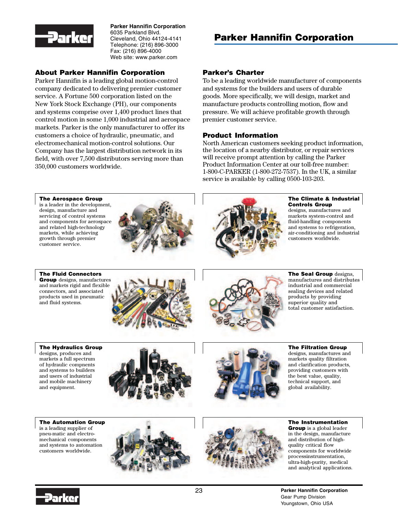

**Parker Hannifin Corporation** 6035 Parkland Blvd. Cleveland, Ohio 44124-4141 Telephone: (216) 896-3000 Fax: (216) 896-4000 Web site: www.parker.com

#### About Parker Hannifin Corporation

Parker Hannifin is a leading global motion-control company dedicated to delivering premier customer service. A Fortune 500 corporation listed on the New York Stock Exchange (PH), our components and systems comprise over 1,400 product lines that control motion in some 1,000 industrial and aerospace markets. Parker is the only manufacturer to offer its customers a choice of hydraulic, pneumatic, and electromechanical motion-control solutions. Our Company has the largest distribution network in its field, with over 7,500 distributors serving more than 350,000 customers worldwide.

# Parker Hannifin Corporation

#### Parker's Charter

To be a leading worldwide manufacturer of components and systems for the builders and users of durable goods. More specifically, we will design, market and manufacture products controlling motion, flow and pressure. We will achieve profitable growth through premier customer service.

#### Product Information

North American customers seeking product information, the location of a nearby distributor, or repair services will receive prompt attention by calling the Parker Product Information Center at our toll-free number: 1-800-C-PARKER (1-800-272-7537). In the UK, a similar service is available by calling 0500-103-203.



#### The Climate & Industrial Controls Group

designs, manufactures and markets system-control and fluid-handling components and systems to refrigeration, air-conditioning and industrial customers worldwide.

customer service. The Fluid Connectors

The Aerospace Group is a leader in the development, design, manufacture and servicing of control systems and components for aerospace and related high-technology markets, while achieving growth through premier

Group designs, manufactures and markets rigid and flexible connectors, and associated products used in pneumatic and fluid systems.





The Seal Group designs, manufactures and distributes industrial and commercial sealing devices and related products by providing superior quality and total customer satisfaction.

The Hydraulics Group designs, produces and markets a full spectrum of hydraulic compnents and systems to builders and users of industrial and mobile machinery and equipment.



The Filtration Group designs, manufactures and markets quality filtration and clarification products, providing customers with the best value, quality, technical support, and global availability.

The Automation Group is a leading supplier of pneu-matic and electromechanical components and systems to automation customers worldwide.





The Instrumentation Group is a global leader in the design, manufacture and distribution of highquality critical flow components for worldwide processinstrumentation, ultra-high-purity, medical and analytical applications.